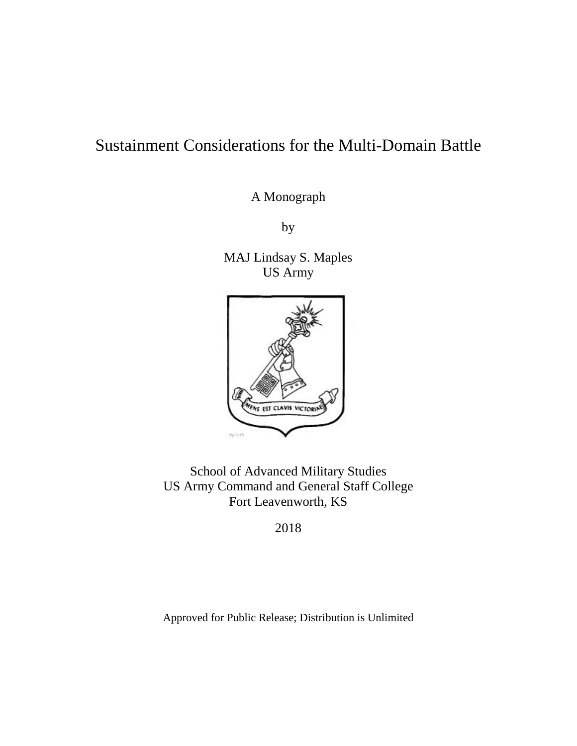# Sustainment Considerations for the Multi-Domain Battle

A Monograph

by

MAJ Lindsay S. Maples US Army



School of Advanced Military Studies US Army Command and General Staff College Fort Leavenworth, KS

2018

Approved for Public Release; Distribution is Unlimited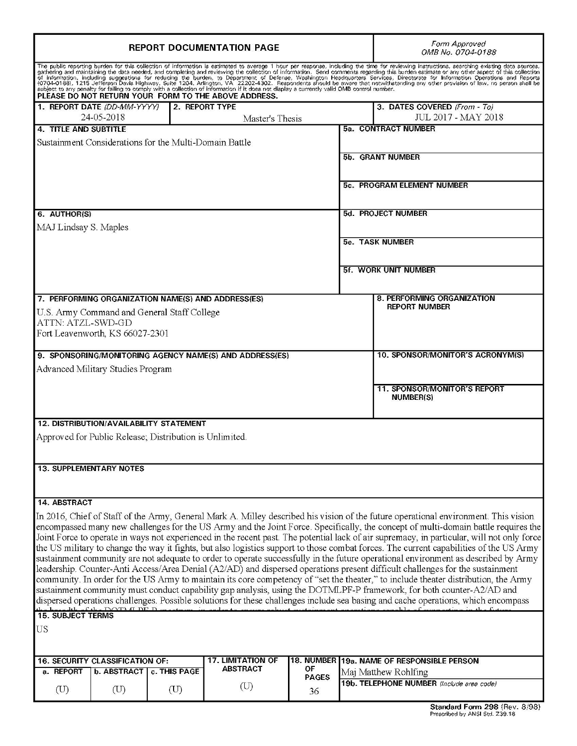| <b>REPORT DOCUMENTATION PAGE</b>                                                                                                                                                                                                                                                                                                                                                                                                                                                                                                                                                                                                                                                                                                                                                                                                                                                                                                                                                                                                                                                                                                                                                                                                                                                                                                                                                                     |  |                                   |                                   |                    |                             | Form Approved<br>OMB No. 0704-0188                                                                                                                                                                                                                                                                                                                                                                                               |
|------------------------------------------------------------------------------------------------------------------------------------------------------------------------------------------------------------------------------------------------------------------------------------------------------------------------------------------------------------------------------------------------------------------------------------------------------------------------------------------------------------------------------------------------------------------------------------------------------------------------------------------------------------------------------------------------------------------------------------------------------------------------------------------------------------------------------------------------------------------------------------------------------------------------------------------------------------------------------------------------------------------------------------------------------------------------------------------------------------------------------------------------------------------------------------------------------------------------------------------------------------------------------------------------------------------------------------------------------------------------------------------------------|--|-----------------------------------|-----------------------------------|--------------------|-----------------------------|----------------------------------------------------------------------------------------------------------------------------------------------------------------------------------------------------------------------------------------------------------------------------------------------------------------------------------------------------------------------------------------------------------------------------------|
| PLEASE DO NOT RETURN YOUR FORM TO THE ABOVE ADDRESS.                                                                                                                                                                                                                                                                                                                                                                                                                                                                                                                                                                                                                                                                                                                                                                                                                                                                                                                                                                                                                                                                                                                                                                                                                                                                                                                                                 |  |                                   |                                   |                    |                             | The public reporting burden for this collection of information is estimated to average 1 hour per response, including the time for reviewing instructions, searching existing data sources,<br>The content of the data needed, and completing and reviewing the collection of information. Send comments regarding this burden estimate or any other aspect of this collection<br>of information, including suggestions for redu |
| 1. REPORT DATE (DD-MM-YYYY)<br>24-05-2018                                                                                                                                                                                                                                                                                                                                                                                                                                                                                                                                                                                                                                                                                                                                                                                                                                                                                                                                                                                                                                                                                                                                                                                                                                                                                                                                                            |  |                                   | 2. REPORT TYPE<br>Master's Thesis |                    |                             | 3. DATES COVERED (From - To)<br>JUL 2017 - MAY 2018                                                                                                                                                                                                                                                                                                                                                                              |
| 4. TITLE AND SUBTITLE                                                                                                                                                                                                                                                                                                                                                                                                                                                                                                                                                                                                                                                                                                                                                                                                                                                                                                                                                                                                                                                                                                                                                                                                                                                                                                                                                                                |  |                                   |                                   |                    |                             | <b>5a. CONTRACT NUMBER</b>                                                                                                                                                                                                                                                                                                                                                                                                       |
| Sustainment Considerations for the Multi-Domain Battle                                                                                                                                                                                                                                                                                                                                                                                                                                                                                                                                                                                                                                                                                                                                                                                                                                                                                                                                                                                                                                                                                                                                                                                                                                                                                                                                               |  |                                   |                                   |                    |                             |                                                                                                                                                                                                                                                                                                                                                                                                                                  |
|                                                                                                                                                                                                                                                                                                                                                                                                                                                                                                                                                                                                                                                                                                                                                                                                                                                                                                                                                                                                                                                                                                                                                                                                                                                                                                                                                                                                      |  |                                   |                                   |                    |                             | 5b. GRANT NUMBER                                                                                                                                                                                                                                                                                                                                                                                                                 |
|                                                                                                                                                                                                                                                                                                                                                                                                                                                                                                                                                                                                                                                                                                                                                                                                                                                                                                                                                                                                                                                                                                                                                                                                                                                                                                                                                                                                      |  |                                   |                                   |                    | 5c. PROGRAM ELEMENT NUMBER  |                                                                                                                                                                                                                                                                                                                                                                                                                                  |
| 6. AUTHOR(S)                                                                                                                                                                                                                                                                                                                                                                                                                                                                                                                                                                                                                                                                                                                                                                                                                                                                                                                                                                                                                                                                                                                                                                                                                                                                                                                                                                                         |  |                                   |                                   |                    |                             | <b>5d. PROJECT NUMBER</b>                                                                                                                                                                                                                                                                                                                                                                                                        |
| MAJ Lindsay S. Maples                                                                                                                                                                                                                                                                                                                                                                                                                                                                                                                                                                                                                                                                                                                                                                                                                                                                                                                                                                                                                                                                                                                                                                                                                                                                                                                                                                                |  |                                   |                                   |                    |                             |                                                                                                                                                                                                                                                                                                                                                                                                                                  |
|                                                                                                                                                                                                                                                                                                                                                                                                                                                                                                                                                                                                                                                                                                                                                                                                                                                                                                                                                                                                                                                                                                                                                                                                                                                                                                                                                                                                      |  |                                   |                                   |                    |                             | <b>5e. TASK NUMBER</b>                                                                                                                                                                                                                                                                                                                                                                                                           |
|                                                                                                                                                                                                                                                                                                                                                                                                                                                                                                                                                                                                                                                                                                                                                                                                                                                                                                                                                                                                                                                                                                                                                                                                                                                                                                                                                                                                      |  |                                   |                                   |                    | <b>5f. WORK UNIT NUMBER</b> |                                                                                                                                                                                                                                                                                                                                                                                                                                  |
|                                                                                                                                                                                                                                                                                                                                                                                                                                                                                                                                                                                                                                                                                                                                                                                                                                                                                                                                                                                                                                                                                                                                                                                                                                                                                                                                                                                                      |  |                                   |                                   |                    |                             |                                                                                                                                                                                                                                                                                                                                                                                                                                  |
| 7. PERFORMING ORGANIZATION NAME(S) AND ADDRESS(ES)                                                                                                                                                                                                                                                                                                                                                                                                                                                                                                                                                                                                                                                                                                                                                                                                                                                                                                                                                                                                                                                                                                                                                                                                                                                                                                                                                   |  |                                   |                                   |                    |                             | 8. PERFORMING ORGANIZATION                                                                                                                                                                                                                                                                                                                                                                                                       |
| U.S. Army Command and General Staff College                                                                                                                                                                                                                                                                                                                                                                                                                                                                                                                                                                                                                                                                                                                                                                                                                                                                                                                                                                                                                                                                                                                                                                                                                                                                                                                                                          |  |                                   |                                   |                    |                             | <b>REPORT NUMBER</b>                                                                                                                                                                                                                                                                                                                                                                                                             |
| ATTN: ATZL-SWD-GD<br>Fort Leavenworth, KS 66027-2301                                                                                                                                                                                                                                                                                                                                                                                                                                                                                                                                                                                                                                                                                                                                                                                                                                                                                                                                                                                                                                                                                                                                                                                                                                                                                                                                                 |  |                                   |                                   |                    |                             |                                                                                                                                                                                                                                                                                                                                                                                                                                  |
|                                                                                                                                                                                                                                                                                                                                                                                                                                                                                                                                                                                                                                                                                                                                                                                                                                                                                                                                                                                                                                                                                                                                                                                                                                                                                                                                                                                                      |  |                                   |                                   |                    |                             |                                                                                                                                                                                                                                                                                                                                                                                                                                  |
| 9. SPONSORING/MONITORING AGENCY NAME(S) AND ADDRESS(ES)                                                                                                                                                                                                                                                                                                                                                                                                                                                                                                                                                                                                                                                                                                                                                                                                                                                                                                                                                                                                                                                                                                                                                                                                                                                                                                                                              |  |                                   |                                   |                    |                             | 10. SPONSOR/MONITOR'S ACRONYM(S)                                                                                                                                                                                                                                                                                                                                                                                                 |
| Advanced Military Studies Program                                                                                                                                                                                                                                                                                                                                                                                                                                                                                                                                                                                                                                                                                                                                                                                                                                                                                                                                                                                                                                                                                                                                                                                                                                                                                                                                                                    |  |                                   |                                   |                    |                             |                                                                                                                                                                                                                                                                                                                                                                                                                                  |
|                                                                                                                                                                                                                                                                                                                                                                                                                                                                                                                                                                                                                                                                                                                                                                                                                                                                                                                                                                                                                                                                                                                                                                                                                                                                                                                                                                                                      |  |                                   |                                   |                    |                             | <b>11. SPONSOR/MONITOR'S REPORT</b><br><b>NUMBER(S)</b>                                                                                                                                                                                                                                                                                                                                                                          |
| <b>12. DISTRIBUTION/AVAILABILITY STATEMENT</b>                                                                                                                                                                                                                                                                                                                                                                                                                                                                                                                                                                                                                                                                                                                                                                                                                                                                                                                                                                                                                                                                                                                                                                                                                                                                                                                                                       |  |                                   |                                   |                    |                             |                                                                                                                                                                                                                                                                                                                                                                                                                                  |
| Approved for Public Release; Distribution is Unlimited.                                                                                                                                                                                                                                                                                                                                                                                                                                                                                                                                                                                                                                                                                                                                                                                                                                                                                                                                                                                                                                                                                                                                                                                                                                                                                                                                              |  |                                   |                                   |                    |                             |                                                                                                                                                                                                                                                                                                                                                                                                                                  |
| <b>13. SUPPLEMENTARY NOTES</b>                                                                                                                                                                                                                                                                                                                                                                                                                                                                                                                                                                                                                                                                                                                                                                                                                                                                                                                                                                                                                                                                                                                                                                                                                                                                                                                                                                       |  |                                   |                                   |                    |                             |                                                                                                                                                                                                                                                                                                                                                                                                                                  |
|                                                                                                                                                                                                                                                                                                                                                                                                                                                                                                                                                                                                                                                                                                                                                                                                                                                                                                                                                                                                                                                                                                                                                                                                                                                                                                                                                                                                      |  |                                   |                                   |                    |                             |                                                                                                                                                                                                                                                                                                                                                                                                                                  |
| 14. ABSTRACT<br>In 2016, Chief of Staff of the Army, General Mark A. Milley described his vision of the future operational environment. This vision<br>encompassed many new challenges for the US Army and the Joint Force. Specifically, the concept of multi-domain battle requires the<br>Joint Force to operate in ways not experienced in the recent past. The potential lack of air supremacy, in particular, will not only force<br>the US military to change the way it fights, but also logistics support to those combat forces. The current capabilities of the US Army<br>sustainment community are not adequate to order to operate successfully in the future operational environment as described by Army<br>leadership. Counter-Anti Access/Area Denial (A2/AD) and dispersed operations present difficult challenges for the sustainment<br>community. In order for the US Army to maintain its core competency of "set the theater," to include theater distribution, the Army<br>sustainment community must conduct capability gap analysis, using the DOTMLPF-P framework, for both counter-A2/AD and<br>dispersed operations challenges. Possible solutions for these challenges include sea basing and cache operations, which encompass<br>$\overline{D}$ $\overline{C}$ $\overline{D}$ $\overline{D}$ are atomic in and or to anoma valent optimum out an anational conclude |  |                                   |                                   |                    |                             |                                                                                                                                                                                                                                                                                                                                                                                                                                  |
| the broadth of the DC                                                                                                                                                                                                                                                                                                                                                                                                                                                                                                                                                                                                                                                                                                                                                                                                                                                                                                                                                                                                                                                                                                                                                                                                                                                                                                                                                                                |  |                                   |                                   |                    |                             |                                                                                                                                                                                                                                                                                                                                                                                                                                  |
| US                                                                                                                                                                                                                                                                                                                                                                                                                                                                                                                                                                                                                                                                                                                                                                                                                                                                                                                                                                                                                                                                                                                                                                                                                                                                                                                                                                                                   |  |                                   |                                   |                    |                             |                                                                                                                                                                                                                                                                                                                                                                                                                                  |
| 16. SECURITY CLASSIFICATION OF:                                                                                                                                                                                                                                                                                                                                                                                                                                                                                                                                                                                                                                                                                                                                                                                                                                                                                                                                                                                                                                                                                                                                                                                                                                                                                                                                                                      |  |                                   | 17. LIMITATION OF                 |                    |                             | 18. NUMBER 19a. NAME OF RESPONSIBLE PERSON                                                                                                                                                                                                                                                                                                                                                                                       |
| a. REPORT                                                                                                                                                                                                                                                                                                                                                                                                                                                                                                                                                                                                                                                                                                                                                                                                                                                                                                                                                                                                                                                                                                                                                                                                                                                                                                                                                                                            |  | <b>b. ABSTRACT   c. THIS PAGE</b> | <b>ABSTRACT</b>                   | ОF<br><b>PAGES</b> |                             | Maj Matthew Rohlfing                                                                                                                                                                                                                                                                                                                                                                                                             |
| $(\mathrm{U})$<br>$(\mathrm{U})$                                                                                                                                                                                                                                                                                                                                                                                                                                                                                                                                                                                                                                                                                                                                                                                                                                                                                                                                                                                                                                                                                                                                                                                                                                                                                                                                                                     |  | (U)                               | $(\mathrm{U})$                    | 36                 |                             | 19b. TELEPHONE NUMBER (Include area code)                                                                                                                                                                                                                                                                                                                                                                                        |
|                                                                                                                                                                                                                                                                                                                                                                                                                                                                                                                                                                                                                                                                                                                                                                                                                                                                                                                                                                                                                                                                                                                                                                                                                                                                                                                                                                                                      |  |                                   |                                   |                    |                             | Standard Form 298 (Rev. 8/98)                                                                                                                                                                                                                                                                                                                                                                                                    |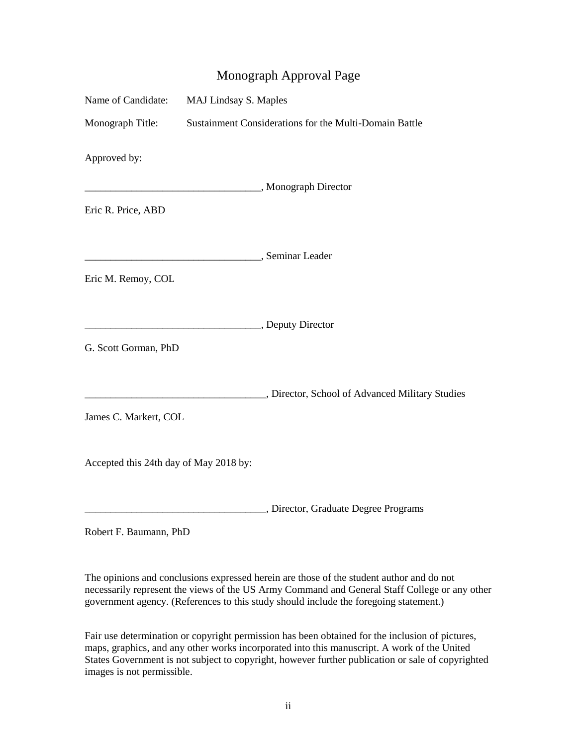# Monograph Approval Page

| Name of Candidate: MAJ Lindsay S. Maples |  |                                                        |  |  |  |
|------------------------------------------|--|--------------------------------------------------------|--|--|--|
| Monograph Title:                         |  | Sustainment Considerations for the Multi-Domain Battle |  |  |  |
| Approved by:                             |  | Monograph Director                                     |  |  |  |
| Eric R. Price, ABD                       |  |                                                        |  |  |  |
| Seminar Leader<br>Eric M. Remoy, COL     |  |                                                        |  |  |  |
|                                          |  |                                                        |  |  |  |
| Deputy Director                          |  |                                                        |  |  |  |
| G. Scott Gorman, PhD                     |  |                                                        |  |  |  |
|                                          |  | Director, School of Advanced Military Studies          |  |  |  |
| James C. Markert, COL                    |  |                                                        |  |  |  |
| Accepted this 24th day of May 2018 by:   |  |                                                        |  |  |  |
|                                          |  | Director, Graduate Degree Programs                     |  |  |  |
| Robert F. Baumann, PhD                   |  |                                                        |  |  |  |

 The opinions and conclusions expressed herein are those of the student author and do not necessarily represent the views of the US Army Command and General Staff College or any other government agency. (References to this study should include the foregoing statement.)

 Fair use determination or copyright permission has been obtained for the inclusion of pictures, maps, graphics, and any other works incorporated into this manuscript. A work of the United States Government is not subject to copyright, however further publication or sale of copyrighted images is not permissible.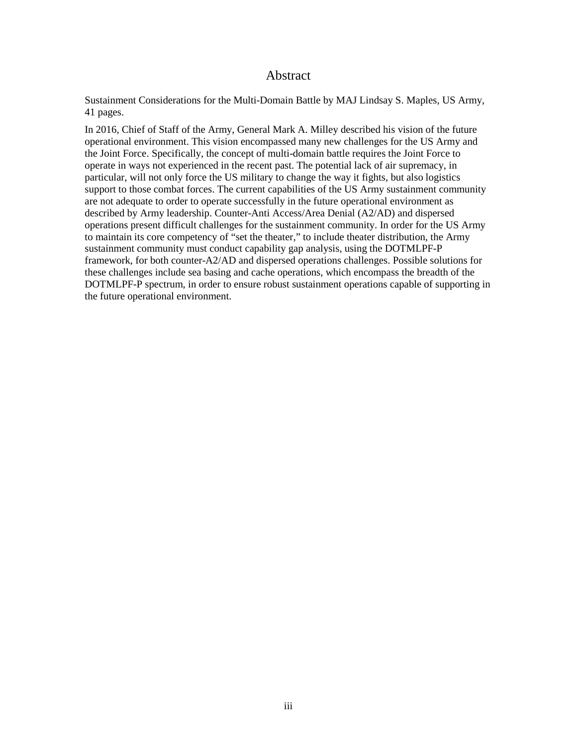## Abstract

<span id="page-3-0"></span> 41 pages. Sustainment Considerations for the Multi-Domain Battle by MAJ Lindsay S. Maples, US Army,

 In 2016, Chief of Staff of the Army, General Mark A. Milley described his vision of the future operational environment. This vision encompassed many new challenges for the US Army and operate in ways not experienced in the recent past. The potential lack of air supremacy, in support to those combat forces. The current capabilities of the US Army sustainment community described by Army leadership. Counter-Anti Access/Area Denial (A2/AD) and dispersed operations present difficult challenges for the sustainment community. In order for the US Army to maintain its core competency of "set the theater," to include theater distribution, the Army sustainment community must conduct capability gap analysis, using the DOTMLPF-P the Joint Force. Specifically, the concept of multi-domain battle requires the Joint Force to particular, will not only force the US military to change the way it fights, but also logistics are not adequate to order to operate successfully in the future operational environment as framework, for both counter-A2/AD and dispersed operations challenges. Possible solutions for these challenges include sea basing and cache operations, which encompass the breadth of the DOTMLPF-P spectrum, in order to ensure robust sustainment operations capable of supporting in the future operational environment.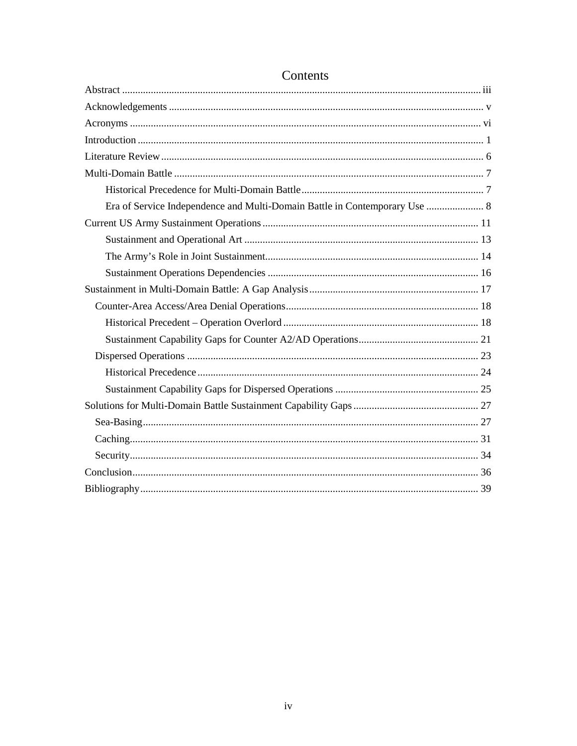| Era of Service Independence and Multi-Domain Battle in Contemporary Use  8 |
|----------------------------------------------------------------------------|
|                                                                            |
|                                                                            |
|                                                                            |
|                                                                            |
|                                                                            |
|                                                                            |
|                                                                            |
|                                                                            |
|                                                                            |
|                                                                            |
|                                                                            |
|                                                                            |
|                                                                            |
|                                                                            |
|                                                                            |
|                                                                            |
|                                                                            |

# Contents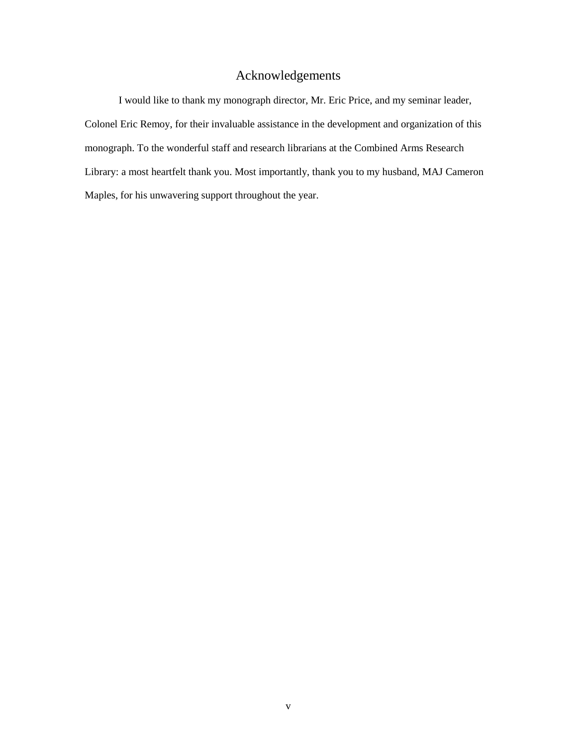# Acknowledgements

<span id="page-5-0"></span> I would like to thank my monograph director, Mr. Eric Price, and my seminar leader, monograph. To the wonderful staff and research librarians at the Combined Arms Research Colonel Eric Remoy, for their invaluable assistance in the development and organization of this Library: a most heartfelt thank you. Most importantly, thank you to my husband, MAJ Cameron Maples, for his unwavering support throughout the year.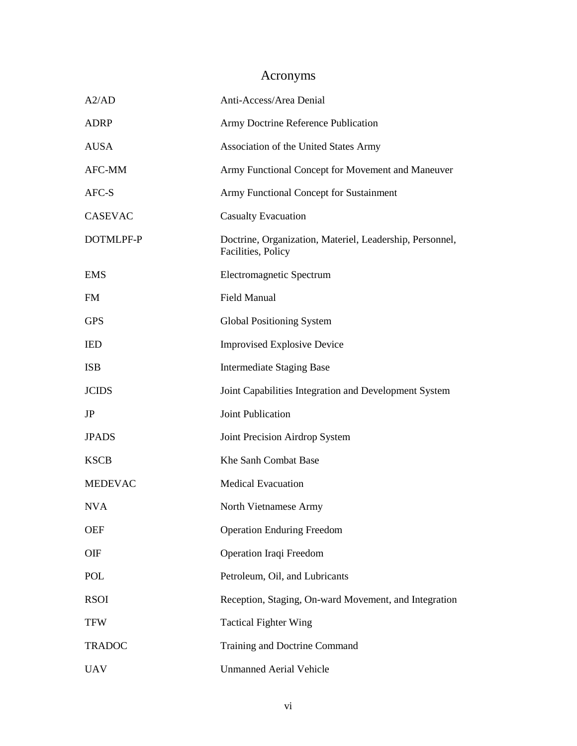# Acronyms

<span id="page-6-0"></span>

| A2/AD          | Anti-Access/Area Denial                                                        |
|----------------|--------------------------------------------------------------------------------|
| <b>ADRP</b>    | Army Doctrine Reference Publication                                            |
| <b>AUSA</b>    | Association of the United States Army                                          |
| AFC-MM         | Army Functional Concept for Movement and Maneuver                              |
| AFC-S          | Army Functional Concept for Sustainment                                        |
| <b>CASEVAC</b> | <b>Casualty Evacuation</b>                                                     |
| DOTMLPF-P      | Doctrine, Organization, Materiel, Leadership, Personnel,<br>Facilities, Policy |
| <b>EMS</b>     | Electromagnetic Spectrum                                                       |
| <b>FM</b>      | <b>Field Manual</b>                                                            |
| <b>GPS</b>     | <b>Global Positioning System</b>                                               |
| <b>IED</b>     | <b>Improvised Explosive Device</b>                                             |
| <b>ISB</b>     | <b>Intermediate Staging Base</b>                                               |
| <b>JCIDS</b>   | Joint Capabilities Integration and Development System                          |
| JP             | Joint Publication                                                              |
| <b>JPADS</b>   | Joint Precision Airdrop System                                                 |
| <b>KSCB</b>    | Khe Sanh Combat Base                                                           |
| <b>MEDEVAC</b> | <b>Medical Evacuation</b>                                                      |
| <b>NVA</b>     | North Vietnamese Army                                                          |
| <b>OEF</b>     | <b>Operation Enduring Freedom</b>                                              |
| OIF            | Operation Iraqi Freedom                                                        |
| POL            | Petroleum, Oil, and Lubricants                                                 |
| <b>RSOI</b>    | Reception, Staging, On-ward Movement, and Integration                          |
| <b>TFW</b>     | <b>Tactical Fighter Wing</b>                                                   |
| <b>TRADOC</b>  | Training and Doctrine Command                                                  |
| <b>UAV</b>     | <b>Unmanned Aerial Vehicle</b>                                                 |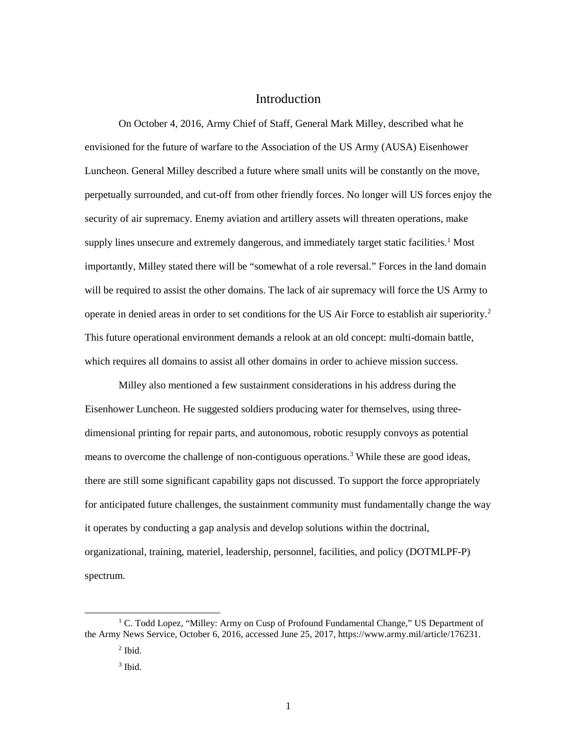# Introduction

<span id="page-7-0"></span> On October 4, 2016, Army Chief of Staff, General Mark Milley, described what he envisioned for the future of warfare to the Association of the US Army (AUSA) Eisenhower Luncheon. General Milley described a future where small units will be constantly on the move, perpetually surrounded, and cut-off from other friendly forces. No longer will US forces enjoy the importantly, Milley stated there will be "somewhat of a role reversal." Forces in the land domain operate in denied areas in order to set conditions for the US Air Force to establish air superiority.<sup>[2](#page-7-2)</sup> This future operational environment demands a relook at an old concept: multi-domain battle, security of air supremacy. Enemy aviation and artillery assets will threaten operations, make supply lines unsecure and extremely dangerous, and immediately target static facilities.<sup>[1](#page-7-1)</sup> Most will be required to assist the other domains. The lack of air supremacy will force the US Army to which requires all domains to assist all other domains in order to achieve mission success.

 Milley also mentioned a few sustainment considerations in his address during the Eisenhower Luncheon. He suggested soldiers producing water for themselves, using three- dimensional printing for repair parts, and autonomous, robotic resupply convoys as potential means to overcome the challenge of non-contiguous operations.<sup>[3](#page-7-3)</sup> While these are good ideas, there are still some significant capability gaps not discussed. To support the force appropriately for anticipated future challenges, the sustainment community must fundamentally change the way it operates by conducting a gap analysis and develop solutions within the doctrinal, organizational, training, materiel, leadership, personnel, facilities, and policy (DOTMLPF-P) spectrum.

<span id="page-7-3"></span><span id="page-7-2"></span><span id="page-7-1"></span><sup>&</sup>lt;sup>1</sup> C. Todd Lopez, "Milley: Army on Cusp of Profound Fundamental Change," US Department of the Army News Service, October 6, 2016, accessed June 25, 2017, [https://www.army.mil/article/176231.](https://www.army.mil/article/176231)

 $<sup>2</sup>$  Ibid.</sup>

 $3$  Ibid.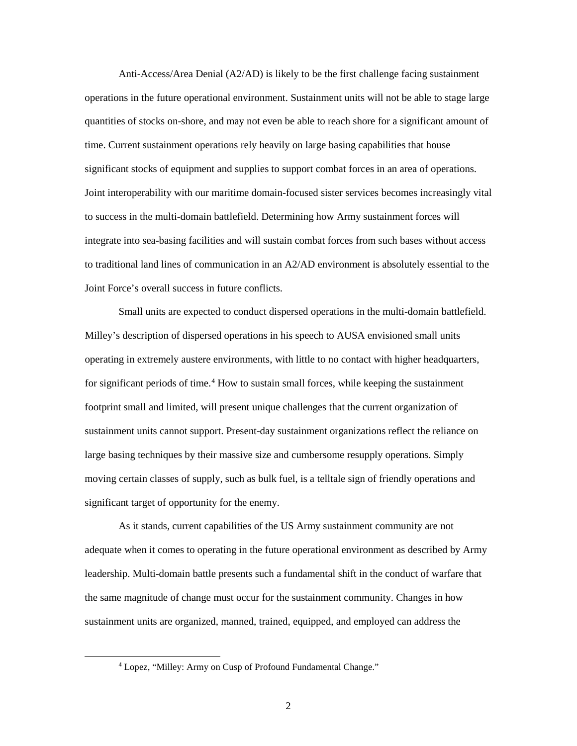quantities of stocks on-shore, and may not even be able to reach shore for a significant amount of significant stocks of equipment and supplies to support combat forces in an area of operations. to success in the multi-domain battlefield. Determining how Army sustainment forces will Anti-Access/Area Denial (A2/AD) is likely to be the first challenge facing sustainment operations in the future operational environment. Sustainment units will not be able to stage large time. Current sustainment operations rely heavily on large basing capabilities that house Joint interoperability with our maritime domain-focused sister services becomes increasingly vital integrate into sea-basing facilities and will sustain combat forces from such bases without access to traditional land lines of communication in an A2/AD environment is absolutely essential to the Joint Force's overall success in future conflicts.

 Small units are expected to conduct dispersed operations in the multi-domain battlefield. Milley's description of dispersed operations in his speech to AUSA envisioned small units operating in extremely austere environments, with little to no contact with higher headquarters, for significant periods of time.<sup>[4](#page-8-0)</sup> How to sustain small forces, while keeping the sustainment footprint small and limited, will present unique challenges that the current organization of sustainment units cannot support. Present-day sustainment organizations reflect the reliance on large basing techniques by their massive size and cumbersome resupply operations. Simply moving certain classes of supply, such as bulk fuel, is a telltale sign of friendly operations and significant target of opportunity for the enemy.

 As it stands, current capabilities of the US Army sustainment community are not leadership. Multi-domain battle presents such a fundamental shift in the conduct of warfare that the same magnitude of change must occur for the sustainment community. Changes in how adequate when it comes to operating in the future operational environment as described by Army sustainment units are organized, manned, trained, equipped, and employed can address the

<span id="page-8-0"></span><sup>4</sup> Lopez, "Milley: Army on Cusp of Profound Fundamental Change."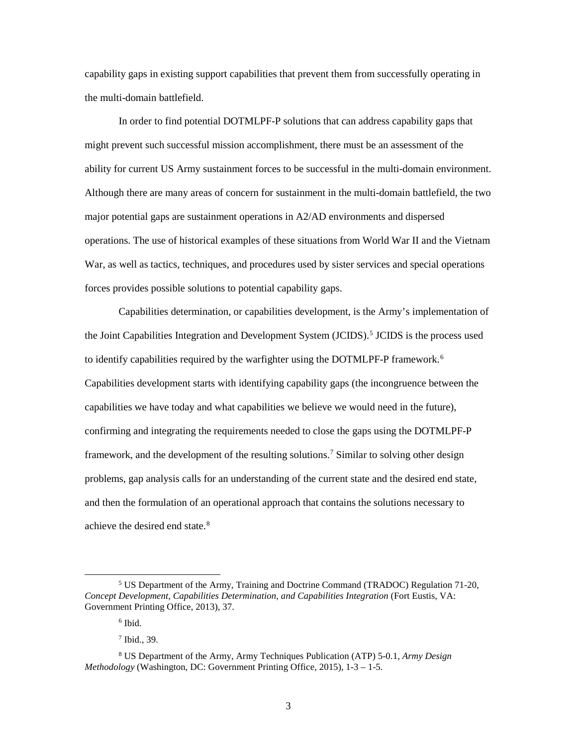capability gaps in existing support capabilities that prevent them from successfully operating in the multi-domain battlefield.

 might prevent such successful mission accomplishment, there must be an assessment of the operations. The use of historical examples of these situations from World War II and the Vietnam War, as well as tactics, techniques, and procedures used by sister services and special operations In order to find potential DOTMLPF-P solutions that can address capability gaps that ability for current US Army sustainment forces to be successful in the multi-domain environment. Although there are many areas of concern for sustainment in the multi-domain battlefield, the two major potential gaps are sustainment operations in A2/AD environments and dispersed forces provides possible solutions to potential capability gaps.

 Capabilities determination, or capabilities development, is the Army's implementation of to identify capabilities required by the warfighter using the DOTMLPF-P framework.<sup>6</sup> confirming and integrating the requirements needed to close the gaps using the DOTMLPF-P and then the formulation of an operational approach that contains the solutions necessary to the Joint Capabilities Integration and Development System (JCIDS).<sup>5</sup> JCIDS is the process used Capabilities development starts with identifying capability gaps (the incongruence between the capabilities we have today and what capabilities we believe we would need in the future), framework, and the development of the resulting solutions.<sup>[7](#page-9-2)</sup> Similar to solving other design problems, gap analysis calls for an understanding of the current state and the desired end state, achieve the desired end state.[8](#page-9-3) 

<span id="page-9-0"></span><sup>5</sup> US Department of the Army, Training and Doctrine Command (TRADOC) Regulation 71-20, *Concept Development, Capabilities Determination, and Capabilities Integration* (Fort Eustis, VA: Government Printing Office, 2013), 37.

 6 Ibid.

 7 Ibid., 39.

<span id="page-9-3"></span><span id="page-9-2"></span><span id="page-9-1"></span> 8 US Department of the Army, Army Techniques Publication (ATP) 5-0.1, *Army Design Methodology* (Washington, DC: Government Printing Office, 2015), 1-3 – 1-5.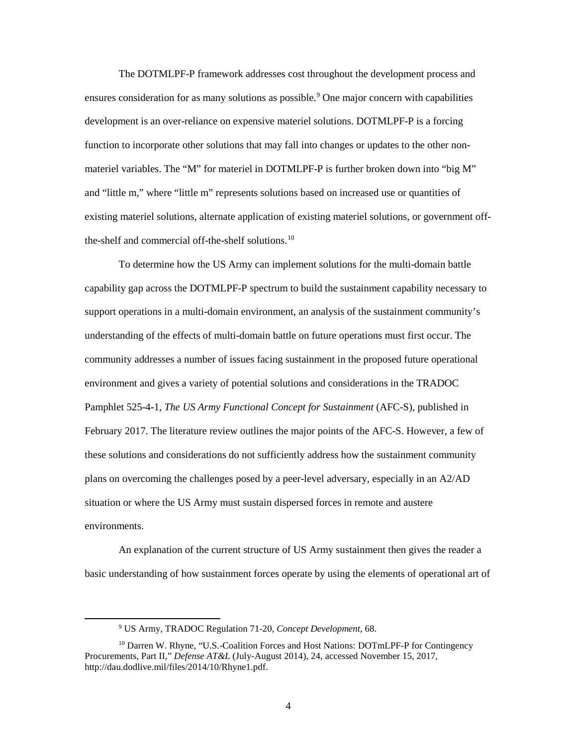ensures consideration for as many solutions as possible.<sup>9</sup> One major concern with capabilities function to incorporate other solutions that may fall into changes or updates to the other non- existing materiel solutions, alternate application of existing materiel solutions, or government off-The DOTMLPF-P framework addresses cost throughout the development process and development is an over-reliance on expensive materiel solutions. DOTMLPF-P is a forcing materiel variables. The "M" for materiel in DOTMLPF-P is further broken down into "big M" and "little m," where "little m" represents solutions based on increased use or quantities of the-shelf and commercial off-the-shelf solutions.<sup>[10](#page-10-1)</sup>

 To determine how the US Army can implement solutions for the multi-domain battle understanding of the effects of multi-domain battle on future operations must first occur. The February 2017. The literature review outlines the major points of the AFC-S. However, a few of plans on overcoming the challenges posed by a peer-level adversary, especially in an A2/AD situation or where the US Army must sustain dispersed forces in remote and austere capability gap across the DOTMLPF-P spectrum to build the sustainment capability necessary to support operations in a multi-domain environment, an analysis of the sustainment community's community addresses a number of issues facing sustainment in the proposed future operational environment and gives a variety of potential solutions and considerations in the TRADOC Pamphlet 525-4-1, *The US Army Functional Concept for Sustainment* (AFC-S), published in these solutions and considerations do not sufficiently address how the sustainment community environments.

 basic understanding of how sustainment forces operate by using the elements of operational art of An explanation of the current structure of US Army sustainment then gives the reader a

<sup>9</sup> US Army, TRADOC Regulation 71-20, *Concept Development*, 68.

<span id="page-10-1"></span><span id="page-10-0"></span><sup>10</sup> Darren W. Rhyne, "U.S.-Coalition Forces and Host Nations: DOTmLPF-P for Contingency Procurements, Part II," *Defense AT&L* (July-August 2014), 24, accessed November 15, 2017, [http://dau.dodlive.mil/files/2014/10/Rhyne1.pdf.](http://dau.dodlive.mil/files/2014/10/Rhyne1.pdf)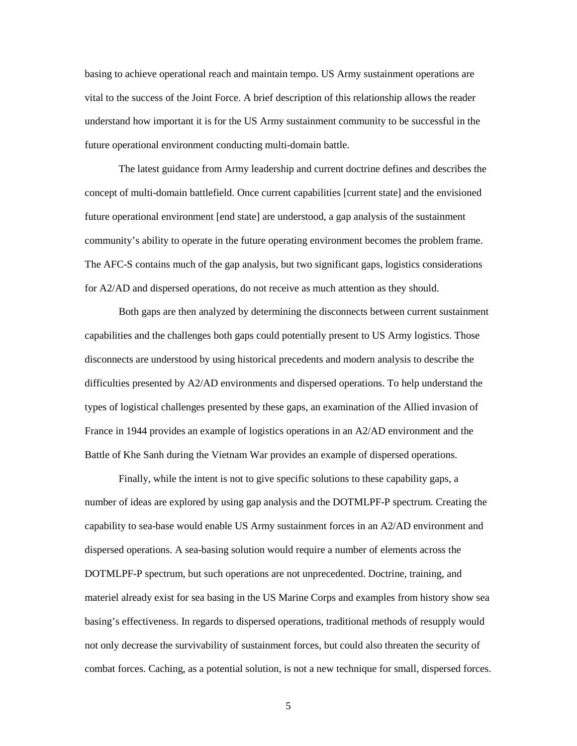vital to the success of the Joint Force. A brief description of this relationship allows the reader understand how important it is for the US Army sustainment community to be successful in the basing to achieve operational reach and maintain tempo. US Army sustainment operations are future operational environment conducting multi-domain battle.

 The latest guidance from Army leadership and current doctrine defines and describes the community's ability to operate in the future operating environment becomes the problem frame. for A2/AD and dispersed operations, do not receive as much attention as they should. concept of multi-domain battlefield. Once current capabilities [current state] and the envisioned future operational environment [end state] are understood, a gap analysis of the sustainment The AFC-S contains much of the gap analysis, but two significant gaps, logistics considerations

 types of logistical challenges presented by these gaps, an examination of the Allied invasion of France in 1944 provides an example of logistics operations in an A2/AD environment and the Battle of Khe Sanh during the Vietnam War provides an example of dispersed operations. Both gaps are then analyzed by determining the disconnects between current sustainment capabilities and the challenges both gaps could potentially present to US Army logistics. Those disconnects are understood by using historical precedents and modern analysis to describe the difficulties presented by A2/AD environments and dispersed operations. To help understand the

 Finally, while the intent is not to give specific solutions to these capability gaps, a number of ideas are explored by using gap analysis and the DOTMLPF-P spectrum. Creating the dispersed operations. A sea-basing solution would require a number of elements across the materiel already exist for sea basing in the US Marine Corps and examples from history show sea not only decrease the survivability of sustainment forces, but could also threaten the security of combat forces. Caching, as a potential solution, is not a new technique for small, dispersed forces. capability to sea-base would enable US Army sustainment forces in an A2/AD environment and DOTMLPF-P spectrum, but such operations are not unprecedented. Doctrine, training, and basing's effectiveness. In regards to dispersed operations, traditional methods of resupply would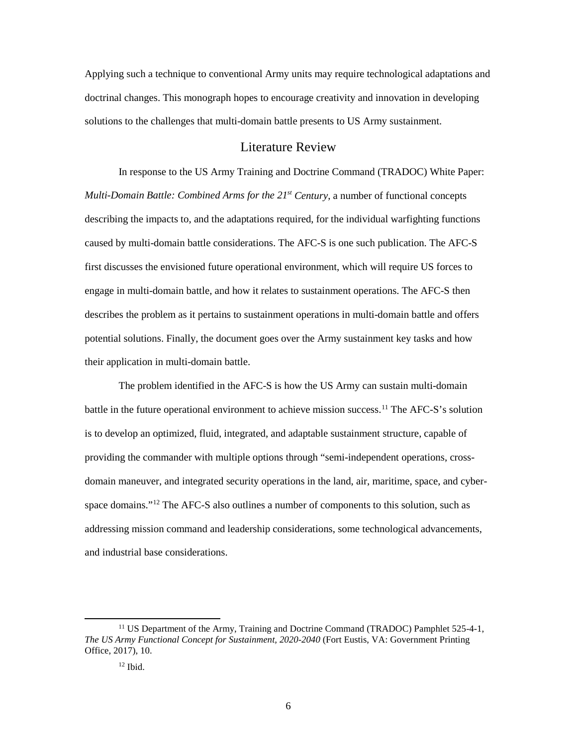Applying such a technique to conventional Army units may require technological adaptations and doctrinal changes. This monograph hopes to encourage creativity and innovation in developing solutions to the challenges that multi-domain battle presents to US Army sustainment.

#### Literature Review

<span id="page-12-0"></span> In response to the US Army Training and Doctrine Command (TRADOC) White Paper:  *Multi-Domain Battle: Combined Arms for the 21st Century*, a number of functional concepts describing the impacts to, and the adaptations required, for the individual warfighting functions first discusses the envisioned future operational environment, which will require US forces to engage in multi-domain battle, and how it relates to sustainment operations. The AFC-S then caused by multi-domain battle considerations. The AFC-S is one such publication. The AFC-S describes the problem as it pertains to sustainment operations in multi-domain battle and offers potential solutions. Finally, the document goes over the Army sustainment key tasks and how their application in multi-domain battle.

 The problem identified in the AFC-S is how the US Army can sustain multi-domain battle in the future operational environment to achieve mission success.<sup>[11](#page-12-1)</sup> The AFC-S's solution domain maneuver, and integrated security operations in the land, air, maritime, space, and cyberspace domains."<sup>12</sup> The AFC-S also outlines a number of components to this solution, such as is to develop an optimized, fluid, integrated, and adaptable sustainment structure, capable of providing the commander with multiple options through "semi-independent operations, crossaddressing mission command and leadership considerations, some technological advancements, and industrial base considerations.

<span id="page-12-2"></span><span id="page-12-1"></span><sup>&</sup>lt;sup>11</sup> US Department of the Army, Training and Doctrine Command (TRADOC) Pamphlet 525-4-1, *The US Army Functional Concept for Sustainment, 2020-2040* (Fort Eustis, VA: Government Printing Office, 2017), 10.

 $12$  Ibid.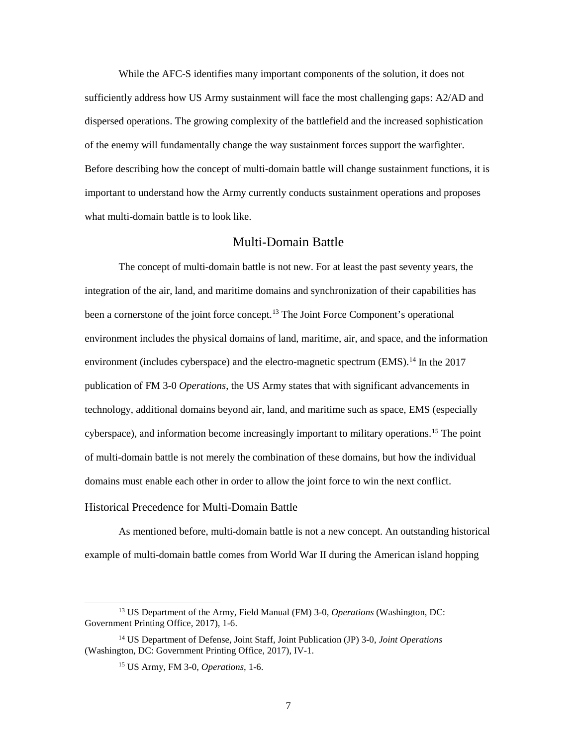Before describing how the concept of multi-domain battle will change sustainment functions, it is While the AFC-S identifies many important components of the solution, it does not sufficiently address how US Army sustainment will face the most challenging gaps: A2/AD and dispersed operations. The growing complexity of the battlefield and the increased sophistication of the enemy will fundamentally change the way sustainment forces support the warfighter. important to understand how the Army currently conducts sustainment operations and proposes what multi-domain battle is to look like.

#### Multi-Domain Battle

<span id="page-13-0"></span> The concept of multi-domain battle is not new. For at least the past seventy years, the integration of the air, land, and maritime domains and synchronization of their capabilities has been a cornerstone of the joint force concept.<sup>[13](#page-13-2)</sup> The Joint Force Component's operational environment (includes cyberspace) and the electro-magnetic spectrum  $(EMS)$ .<sup>[14](#page-13-3)</sup> In the 2017 technology, additional domains beyond air, land, and maritime such as space, EMS (especially cyberspace), and information become increasingly important to military operations.<sup>[15](#page-13-4)</sup> The point domains must enable each other in order to allow the joint force to win the next conflict. environment includes the physical domains of land, maritime, air, and space, and the information publication of FM 3-0 *Operations*, the US Army states that with significant advancements in of multi-domain battle is not merely the combination of these domains, but how the individual

#### <span id="page-13-1"></span>Historical Precedence for Multi-Domain Battle

 As mentioned before, multi-domain battle is not a new concept. An outstanding historical example of multi-domain battle comes from World War II during the American island hopping

<span id="page-13-2"></span><sup>13</sup> US Department of the Army, Field Manual (FM) 3-0, *Operations* (Washington, DC: Government Printing Office, 2017), 1-6.

<span id="page-13-4"></span><span id="page-13-3"></span><sup>14</sup> US Department of Defense, Joint Staff, Joint Publication (JP) 3-0, *Joint Operations*  (Washington, DC: Government Printing Office, 2017), IV-1.

<sup>15</sup> US Army, FM 3-0, *Operations*, 1-6.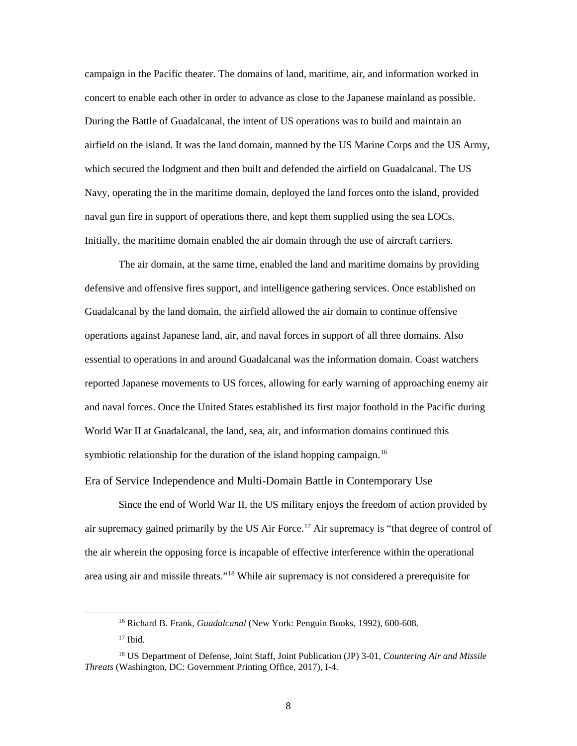campaign in the Pacific theater. The domains of land, maritime, air, and information worked in concert to enable each other in order to advance as close to the Japanese mainland as possible. During the Battle of Guadalcanal, the intent of US operations was to build and maintain an which secured the lodgment and then built and defended the airfield on Guadalcanal. The US Navy, operating the in the maritime domain, deployed the land forces onto the island, provided Initially, the maritime domain enabled the air domain through the use of aircraft carriers. airfield on the island. It was the land domain, manned by the US Marine Corps and the US Army, naval gun fire in support of operations there, and kept them supplied using the sea LOCs.

 and naval forces. Once the United States established its first major foothold in the Pacific during The air domain, at the same time, enabled the land and maritime domains by providing defensive and offensive fires support, and intelligence gathering services. Once established on Guadalcanal by the land domain, the airfield allowed the air domain to continue offensive operations against Japanese land, air, and naval forces in support of all three domains. Also essential to operations in and around Guadalcanal was the information domain. Coast watchers reported Japanese movements to US forces, allowing for early warning of approaching enemy air World War II at Guadalcanal, the land, sea, air, and information domains continued this symbiotic relationship for the duration of the island hopping campaign.<sup>[16](#page-14-1)</sup>

<span id="page-14-0"></span>Era of Service Independence and Multi-Domain Battle in Contemporary Use

 Since the end of World War II, the US military enjoys the freedom of action provided by air supremacy gained primarily by the US Air Force.<sup>[17](#page-14-2)</sup> Air supremacy is "that degree of control of area using air and missile threats."<sup>[18](#page-14-3)</sup> While air supremacy is not considered a prerequisite for the air wherein the opposing force is incapable of effective interference within the operational

<sup>&</sup>lt;sup>16</sup> Richard B. Frank, *Guadalcanal* (New York: Penguin Books, 1992), 600-608.

 $17$  Ibid.

<span id="page-14-3"></span><span id="page-14-2"></span><span id="page-14-1"></span> *Threats* (Washington, DC: Government Printing Office, 2017), I-4. 18 US Department of Defense, Joint Staff, Joint Publication (JP) 3-01, *Countering Air and Missile*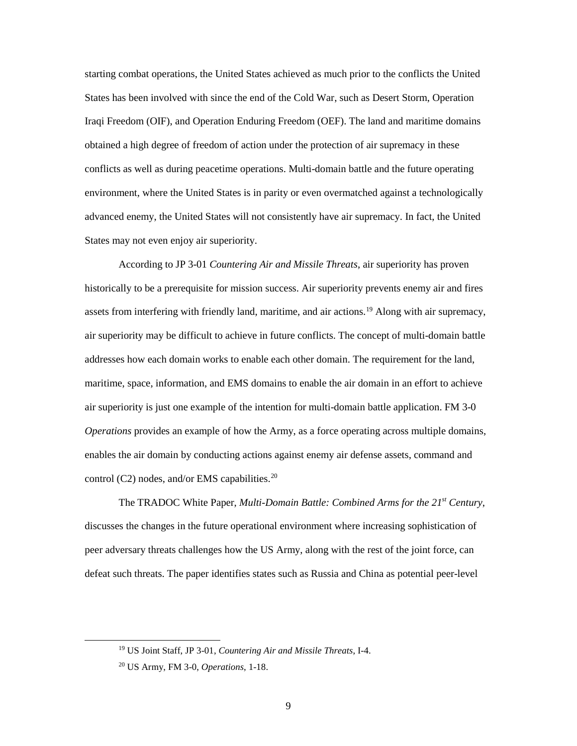conflicts as well as during peacetime operations. Multi-domain battle and the future operating environment, where the United States is in parity or even overmatched against a technologically starting combat operations, the United States achieved as much prior to the conflicts the United States has been involved with since the end of the Cold War, such as Desert Storm, Operation Iraqi Freedom (OIF), and Operation Enduring Freedom (OEF). The land and maritime domains obtained a high degree of freedom of action under the protection of air supremacy in these advanced enemy, the United States will not consistently have air supremacy. In fact, the United States may not even enjoy air superiority.

 According to JP 3-01 *Countering Air and Missile Threats*, air superiority has proven historically to be a prerequisite for mission success. Air superiority prevents enemy air and fires air superiority may be difficult to achieve in future conflicts. The concept of multi-domain battle air superiority is just one example of the intention for multi-domain battle application. FM 3-0 enables the air domain by conducting actions against enemy air defense assets, command and control (C2) nodes, and/or EMS capabilities.<sup>[20](#page-15-1)</sup> assets from interfering with friendly land, maritime, and air actions.[19](#page-15-0) Along with air supremacy, addresses how each domain works to enable each other domain. The requirement for the land, maritime, space, information, and EMS domains to enable the air domain in an effort to achieve *Operations* provides an example of how the Army, as a force operating across multiple domains,

 peer adversary threats challenges how the US Army, along with the rest of the joint force, can The TRADOC White Paper, *Multi-Domain Battle: Combined Arms for the 21st Century*, discusses the changes in the future operational environment where increasing sophistication of defeat such threats. The paper identifies states such as Russia and China as potential peer-level

<span id="page-15-0"></span><sup>19</sup> US Joint Staff, JP 3-01, *Countering Air and Missile Threats*, I-4.

<span id="page-15-1"></span><sup>20</sup> US Army, FM 3-0, *Operations*, 1-18.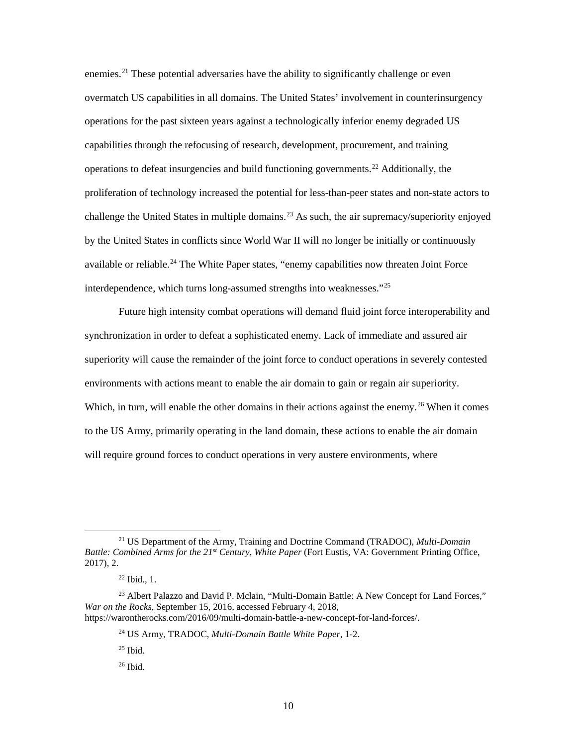enemies.<sup>[21](#page-16-0)</sup> These potential adversaries have the ability to significantly challenge or even overmatch US capabilities in all domains. The United States' involvement in counterinsurgency capabilities through the refocusing of research, development, procurement, and training operations to defeat insurgencies and build functioning governments.<sup>22</sup> Additionally, the proliferation of technology increased the potential for less-than-peer states and non-state actors to by the United States in conflicts since World War II will no longer be initially or continuously available or reliable.<sup>24</sup> The White Paper states, "enemy capabilities now threaten Joint Force operations for the past sixteen years against a technologically inferior enemy degraded US challenge the United States in multiple domains.<sup>[23](#page-16-2)</sup> As such, the air supremacy/superiority enjoyed interdependence, which turns long-assumed strengths into weaknesses."[25](#page-16-4) 

 Future high intensity combat operations will demand fluid joint force interoperability and superiority will cause the remainder of the joint force to conduct operations in severely contested Which, in turn, will enable the other domains in their actions against the enemy.<sup>[26](#page-16-5)</sup> When it comes synchronization in order to defeat a sophisticated enemy. Lack of immediate and assured air environments with actions meant to enable the air domain to gain or regain air superiority. to the US Army, primarily operating in the land domain, these actions to enable the air domain will require ground forces to conduct operations in very austere environments, where

<span id="page-16-0"></span><sup>21</sup> US Department of the Army, Training and Doctrine Command (TRADOC), *Multi-Domain Battle: Combined Arms for the 21<sup>st</sup> Century, White Paper* (Fort Eustis, VA: Government Printing Office, 2017), 2.

 $^{22}$  Ibid., 1.

<span id="page-16-5"></span><span id="page-16-4"></span><span id="page-16-3"></span><span id="page-16-2"></span><span id="page-16-1"></span><sup>&</sup>lt;sup>23</sup> Albert Palazzo and David P. Mclain, "Multi-Domain Battle: A New Concept for Land Forces," *War on the Rocks*, September 15, 2016, accessed February 4, 2018, <https://warontherocks.com/2016/09/multi-domain-battle-a-new-concept-for-land-forces>/.

<sup>24</sup> US Army, TRADOC, *Multi-Domain Battle White Paper*, 1-2.

 25 Ibid.

 26 Ibid.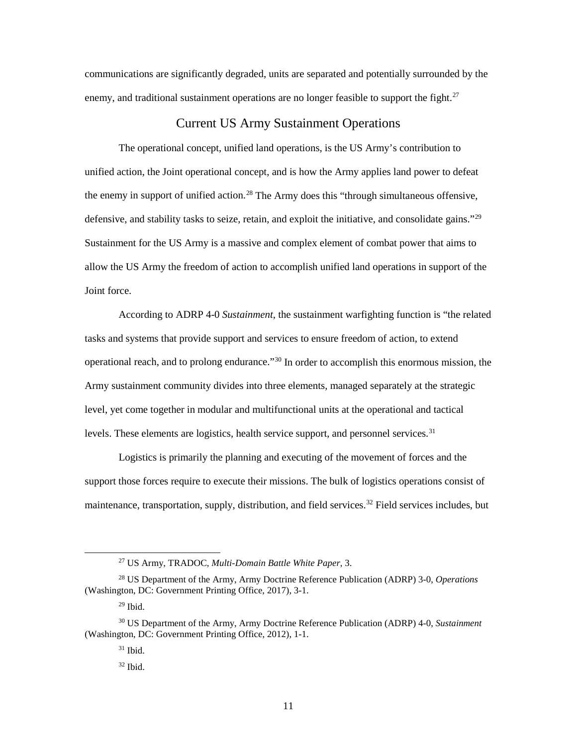enemy, and traditional sustainment operations are no longer feasible to support the fight.<sup>27</sup> communications are significantly degraded, units are separated and potentially surrounded by the

### Current US Army Sustainment Operations

<span id="page-17-0"></span> The operational concept, unified land operations, is the US Army's contribution to defensive, and stability tasks to seize, retain, and exploit the initiative, and consolidate gains."<sup>[29](#page-17-3)</sup> unified action, the Joint operational concept, and is how the Army applies land power to defeat the enemy in support of unified action.<sup>[28](#page-17-2)</sup> The Army does this "through simultaneous offensive, Sustainment for the US Army is a massive and complex element of combat power that aims to allow the US Army the freedom of action to accomplish unified land operations in support of the Joint force.

operational reach, and to prolong endurance."<sup>30</sup> In order to accomplish this enormous mission, the Army sustainment community divides into three elements, managed separately at the strategic level, yet come together in modular and multifunctional units at the operational and tactical According to ADRP 4-0 *Sustainment*, the sustainment warfighting function is "the related tasks and systems that provide support and services to ensure freedom of action, to extend levels. These elements are logistics, health service support, and personnel services. [31](#page-17-5)

 support those forces require to execute their missions. The bulk of logistics operations consist of Logistics is primarily the planning and executing of the movement of forces and the maintenance, transportation, supply, distribution, and field services.<sup>32</sup> Field services includes, but

<sup>27</sup> US Army, TRADOC, *Multi-Domain Battle White Paper*, 3.

<span id="page-17-2"></span><span id="page-17-1"></span><sup>28</sup> US Department of the Army, Army Doctrine Reference Publication (ADRP) 3-0, *Operations*  (Washington, DC: Government Printing Office, 2017), 3-1.

 $^{29}$  Ibid.

<span id="page-17-6"></span><span id="page-17-5"></span><span id="page-17-4"></span><span id="page-17-3"></span> 30 US Department of the Army, Army Doctrine Reference Publication (ADRP) 4-0, *Sustainment*  (Washington, DC: Government Printing Office, 2012), 1-1.

 31 Ibid.

 $32$  Ibid.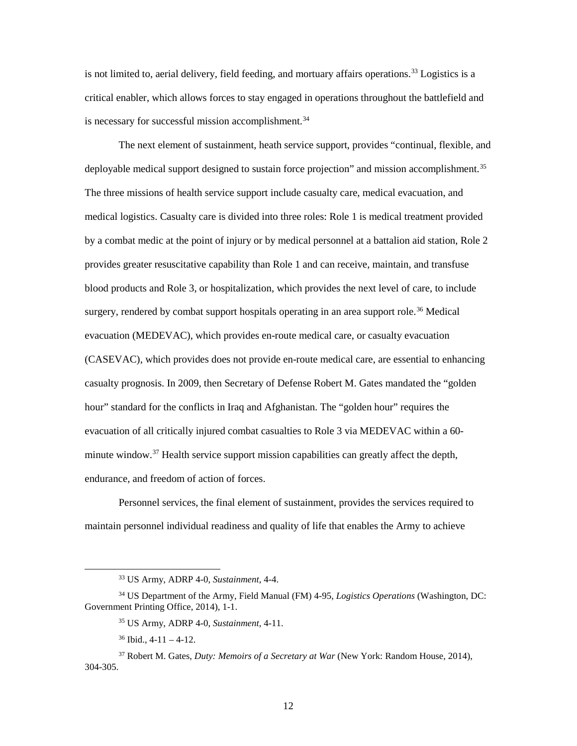is not limited to, aerial delivery, field feeding, and mortuary affairs operations.<sup>33</sup> Logistics is a critical enabler, which allows forces to stay engaged in operations throughout the battlefield and is necessary for successful mission accomplishment.<sup>34</sup>

 The next element of sustainment, heath service support, provides "continual, flexible, and by a combat medic at the point of injury or by medical personnel at a battalion aid station, Role 2 provides greater resuscitative capability than Role 1 and can receive, maintain, and transfuse blood products and Role 3, or hospitalization, which provides the next level of care, to include surgery, rendered by combat support hospitals operating in an area support role.<sup>[36](#page-18-3)</sup> Medical evacuation (MEDEVAC), which provides en-route medical care, or casualty evacuation hour" standard for the conflicts in Iraq and Afghanistan. The "golden hour" requires the endurance, and freedom of action of forces. deployable medical support designed to sustain force projection" and mission accomplishment.<sup>[35](#page-18-2)</sup> The three missions of health service support include casualty care, medical evacuation, and medical logistics. Casualty care is divided into three roles: Role 1 is medical treatment provided (CASEVAC), which provides does not provide en-route medical care, are essential to enhancing casualty prognosis. In 2009, then Secretary of Defense Robert M. Gates mandated the "golden evacuation of all critically injured combat casualties to Role 3 via MEDEVAC within a 60 minute window.<sup>37</sup> Health service support mission capabilities can greatly affect the depth,

 maintain personnel individual readiness and quality of life that enables the Army to achieve Personnel services, the final element of sustainment, provides the services required to

<span id="page-18-0"></span><u>.</u>

<sup>33</sup> US Army, ADRP 4-0, *Sustainment*, 4-4.

<span id="page-18-2"></span><span id="page-18-1"></span><sup>34</sup> US Department of the Army, Field Manual (FM) 4-95, *Logistics Operations* (Washington, DC: Government Printing Office, 2014), 1-1.

<sup>35</sup> US Army, ADRP 4-0, *Sustainment*, 4-11.

 $36$  Ibid.,  $4-11-4-12$ .

<span id="page-18-4"></span><span id="page-18-3"></span><sup>37</sup> Robert M. Gates, *Duty: Memoirs of a Secretary at War* (New York: Random House, 2014), 304-305.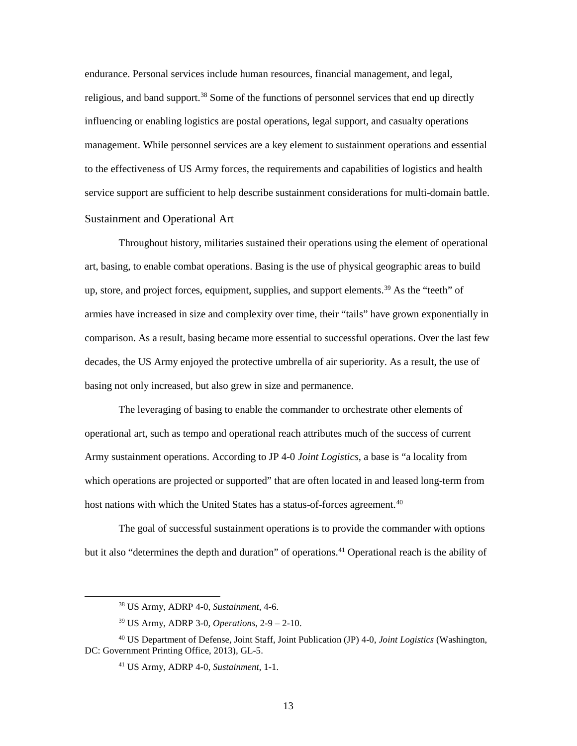endurance. Personal services include human resources, financial management, and legal, religious, and band support.<sup>38</sup> Some of the functions of personnel services that end up directly to the effectiveness of US Army forces, the requirements and capabilities of logistics and health influencing or enabling logistics are postal operations, legal support, and casualty operations management. While personnel services are a key element to sustainment operations and essential service support are sufficient to help describe sustainment considerations for multi-domain battle. Sustainment and Operational Art

<span id="page-19-0"></span> decades, the US Army enjoyed the protective umbrella of air superiority. As a result, the use of Throughout history, militaries sustained their operations using the element of operational art, basing, to enable combat operations. Basing is the use of physical geographic areas to build up, store, and project forces, equipment, supplies, and support elements.<sup>39</sup> As the "teeth" of armies have increased in size and complexity over time, their "tails" have grown exponentially in comparison. As a result, basing became more essential to successful operations. Over the last few basing not only increased, but also grew in size and permanence.

 The leveraging of basing to enable the commander to orchestrate other elements of Army sustainment operations. According to JP 4-0 *Joint Logistics*, a base is "a locality from which operations are projected or supported" that are often located in and leased long-term from operational art, such as tempo and operational reach attributes much of the success of current host nations with which the United States has a status-of-forces agreement.<sup>40</sup>

 The goal of successful sustainment operations is to provide the commander with options but it also "determines the depth and duration" of operations.<sup>[41](#page-19-4)</sup> Operational reach is the ability of

<sup>38</sup> US Army, ADRP 4-0, *Sustainment*, 4-6.

 39 US Army, ADRP 3-0, *Operations*, 2-9 – 2-10.

<span id="page-19-4"></span><span id="page-19-3"></span><span id="page-19-2"></span><span id="page-19-1"></span> 40 US Department of Defense, Joint Staff, Joint Publication (JP) 4-0, *Joint Logistics* (Washington, DC: Government Printing Office, 2013), GL-5.

<sup>41</sup> US Army, ADRP 4-0, *Sustainment*, 1-1.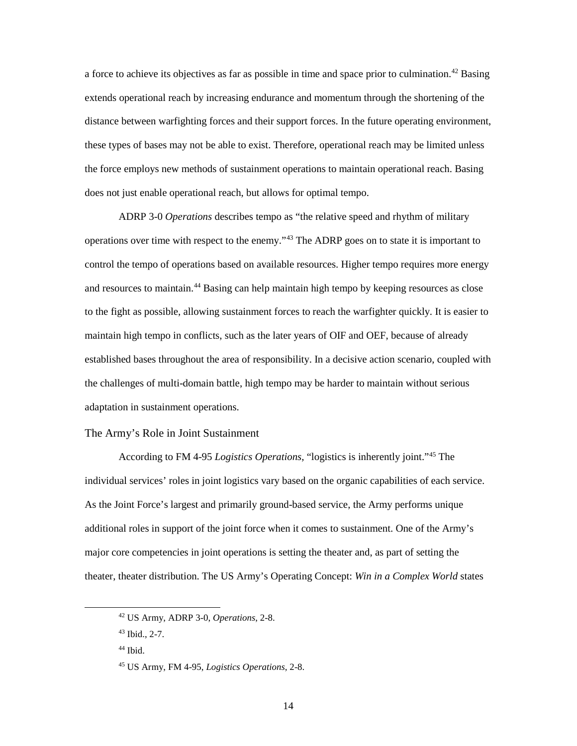extends operational reach by increasing endurance and momentum through the shortening of the distance between warfighting forces and their support forces. In the future operating environment, these types of bases may not be able to exist. Therefore, operational reach may be limited unless does not just enable operational reach, but allows for optimal tempo. a force to achieve its objectives as far as possible in time and space prior to culmination.<sup>42</sup> Basing the force employs new methods of sustainment operations to maintain operational reach. Basing

 ADRP 3-0 *Operations* describes tempo as "the relative speed and rhythm of military operations over time with respect to the enemy."<sup>[43](#page-20-2)</sup> The ADRP goes on to state it is important to control the tempo of operations based on available resources. Higher tempo requires more energy and resources to maintain.<sup>[44](#page-20-3)</sup> Basing can help maintain high tempo by keeping resources as close to the fight as possible, allowing sustainment forces to reach the warfighter quickly. It is easier to maintain high tempo in conflicts, such as the later years of OIF and OEF, because of already established bases throughout the area of responsibility. In a decisive action scenario, coupled with the challenges of multi-domain battle, high tempo may be harder to maintain without serious adaptation in sustainment operations.

## <span id="page-20-0"></span>The Army's Role in Joint Sustainment

 According to FM 4-95 *Logistics Operations*, "logistics is inherently joint."[45](#page-20-4) The additional roles in support of the joint force when it comes to sustainment. One of the Army's theater, theater distribution. The US Army's Operating Concept: *Win in a Complex World* states individual services' roles in joint logistics vary based on the organic capabilities of each service. As the Joint Force's largest and primarily ground-based service, the Army performs unique major core competencies in joint operations is setting the theater and, as part of setting the

<span id="page-20-2"></span><span id="page-20-1"></span><sup>42</sup> US Army, ADRP 3-0, *Operations*, 2-8.

 43 Ibid., 2-7.

<span id="page-20-3"></span> 44 Ibid.

<span id="page-20-4"></span><sup>45</sup> US Army, FM 4-95, *Logistics Operations*, 2-8.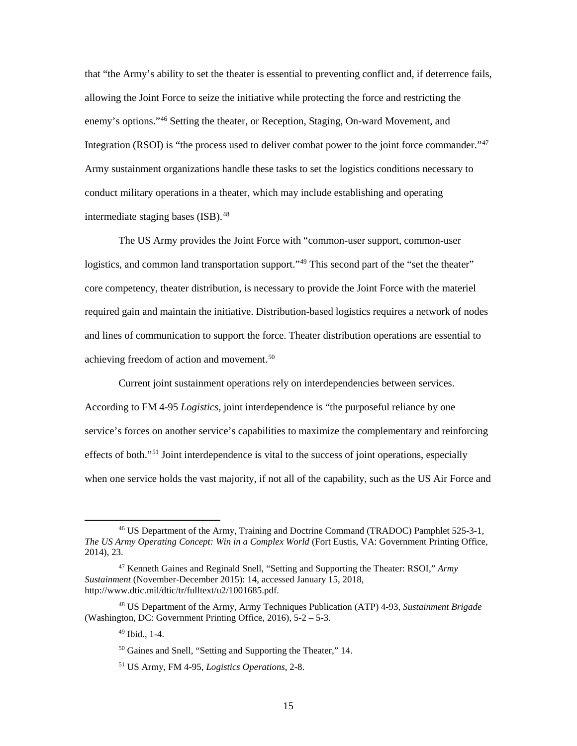that "the Army's ability to set the theater is essential to preventing conflict and, if deterrence fails, allowing the Joint Force to seize the initiative while protecting the force and restricting the enemy's options."[46](#page-21-0) Setting the theater, or Reception, Staging, On-ward Movement, and Integration (RSOI) is "the process used to deliver combat power to the joint force commander."<sup>47</sup> Army sustainment organizations handle these tasks to set the logistics conditions necessary to conduct military operations in a theater, which may include establishing and operating intermediate staging bases (ISB).<sup>[48](#page-21-2)</sup>

The US Army provides the Joint Force with "common-user support, common-user logistics, and common land transportation support."<sup>49</sup> This second part of the "set the theater" core competency, theater distribution, is necessary to provide the Joint Force with the materiel required gain and maintain the initiative. Distribution-based logistics requires a network of nodes and lines of communication to support the force. Theater distribution operations are essential to achieving freedom of action and movement.<sup>50</sup>

 According to FM 4-95 *Logistics*, joint interdependence is "the purposeful reliance by one effects of both."<sup>51</sup> Joint interdependence is vital to the success of joint operations, especially Current joint sustainment operations rely on interdependencies between services. service's forces on another service's capabilities to maximize the complementary and reinforcing when one service holds the vast majority, if not all of the capability, such as the US Air Force and

<span id="page-21-0"></span><sup>46</sup> US Department of the Army, Training and Doctrine Command (TRADOC) Pamphlet 525-3-1, *The US Army Operating Concept: Win in a Complex World* (Fort Eustis, VA: Government Printing Office, 2014), 23.

<span id="page-21-1"></span><sup>47</sup> Kenneth Gaines and Reginald Snell, "Setting and Supporting the Theater: RSOI," *Army Sustainment* (November-December 2015): 14, accessed January 15, 2018, [http://www.dtic.mil/dtic/tr/fulltext/u2/1001685.pdf.](http://www.dtic.mil/dtic/tr/fulltext/u2/1001685.pdf)

<span id="page-21-5"></span><span id="page-21-4"></span><span id="page-21-3"></span><span id="page-21-2"></span> 48 US Department of the Army, Army Techniques Publication (ATP) 4-93, *Sustainment Brigade*  (Washington, DC: Government Printing Office, 2016), 5-2 – 5-3.

 49 Ibid., 1-4.

<sup>50</sup> Gaines and Snell, "Setting and Supporting the Theater," 14.

<sup>51</sup> US Army, FM 4-95, *Logistics Operations*, 2-8.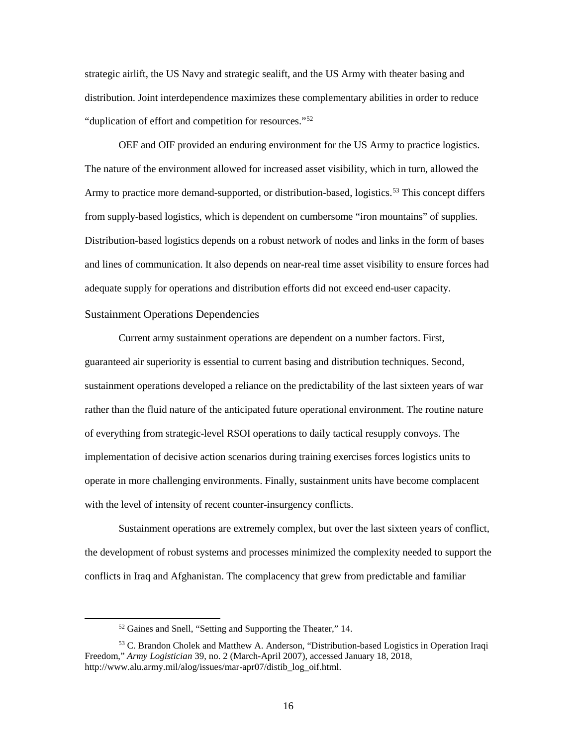strategic airlift, the US Navy and strategic sealift, and the US Army with theater basing and distribution. Joint interdependence maximizes these complementary abilities in order to reduce "duplication of effort and competition for resources.["52](#page-22-1)

 The nature of the environment allowed for increased asset visibility, which in turn, allowed the and lines of communication. It also depends on near-real time asset visibility to ensure forces had OEF and OIF provided an enduring environment for the US Army to practice logistics. Army to practice more demand-supported, or distribution-based, logistics.<sup>53</sup> This concept differs from supply-based logistics, which is dependent on cumbersome "iron mountains" of supplies. Distribution-based logistics depends on a robust network of nodes and links in the form of bases adequate supply for operations and distribution efforts did not exceed end-user capacity.

#### <span id="page-22-0"></span>Sustainment Operations Dependencies

-

 sustainment operations developed a reliance on the predictability of the last sixteen years of war of everything from strategic-level RSOI operations to daily tactical resupply convoys. The with the level of intensity of recent counter-insurgency conflicts. Current army sustainment operations are dependent on a number factors. First, guaranteed air superiority is essential to current basing and distribution techniques. Second, rather than the fluid nature of the anticipated future operational environment. The routine nature implementation of decisive action scenarios during training exercises forces logistics units to operate in more challenging environments. Finally, sustainment units have become complacent

 Sustainment operations are extremely complex, but over the last sixteen years of conflict, the development of robust systems and processes minimized the complexity needed to support the conflicts in Iraq and Afghanistan. The complacency that grew from predictable and familiar

<sup>52</sup> Gaines and Snell, "Setting and Supporting the Theater," 14.

<span id="page-22-2"></span><span id="page-22-1"></span><sup>&</sup>lt;sup>53</sup> C. Brandon Cholek and Matthew A. Anderson, "Distribution-based Logistics in Operation Iraqi Freedom," *Army Logistician* 39, no. 2 (March-April 2007), accessed January 18, 2018, [http://www.alu.army.mil/alog/issues/mar-apr07/distib\\_log\\_oif.html.](http://www.alu.army.mil/alog/issues/mar-apr07/distib_log_oif.html)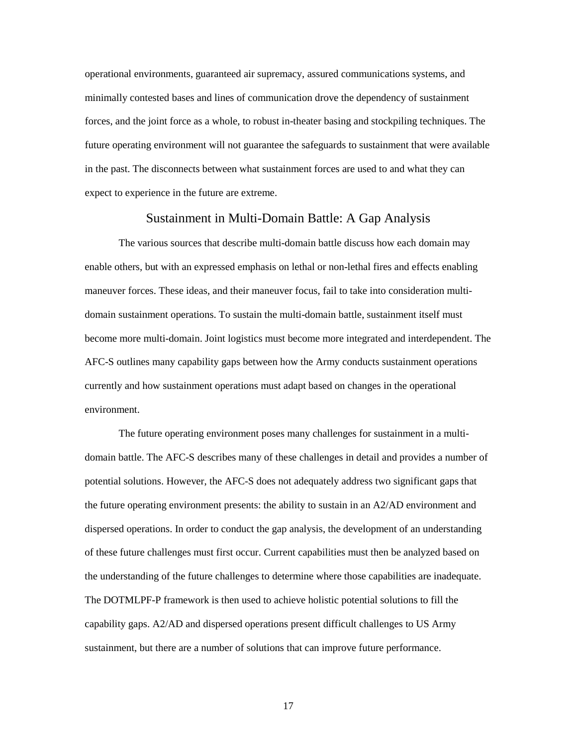operational environments, guaranteed air supremacy, assured communications systems, and minimally contested bases and lines of communication drove the dependency of sustainment forces, and the joint force as a whole, to robust in-theater basing and stockpiling techniques. The future operating environment will not guarantee the safeguards to sustainment that were available in the past. The disconnects between what sustainment forces are used to and what they can expect to experience in the future are extreme.

#### Sustainment in Multi-Domain Battle: A Gap Analysis

<span id="page-23-0"></span>The various sources that describe multi-domain battle discuss how each domain may enable others, but with an expressed emphasis on lethal or non-lethal fires and effects enabling maneuver forces. These ideas, and their maneuver focus, fail to take into consideration multidomain sustainment operations. To sustain the multi-domain battle, sustainment itself must become more multi-domain. Joint logistics must become more integrated and interdependent. The AFC-S outlines many capability gaps between how the Army conducts sustainment operations currently and how sustainment operations must adapt based on changes in the operational environment.

 potential solutions. However, the AFC-S does not adequately address two significant gaps that dispersed operations. In order to conduct the gap analysis, the development of an understanding the understanding of the future challenges to determine where those capabilities are inadequate. capability gaps. A2/AD and dispersed operations present difficult challenges to US Army The future operating environment poses many challenges for sustainment in a multidomain battle. The AFC-S describes many of these challenges in detail and provides a number of the future operating environment presents: the ability to sustain in an A2/AD environment and of these future challenges must first occur. Current capabilities must then be analyzed based on The DOTMLPF-P framework is then used to achieve holistic potential solutions to fill the sustainment, but there are a number of solutions that can improve future performance.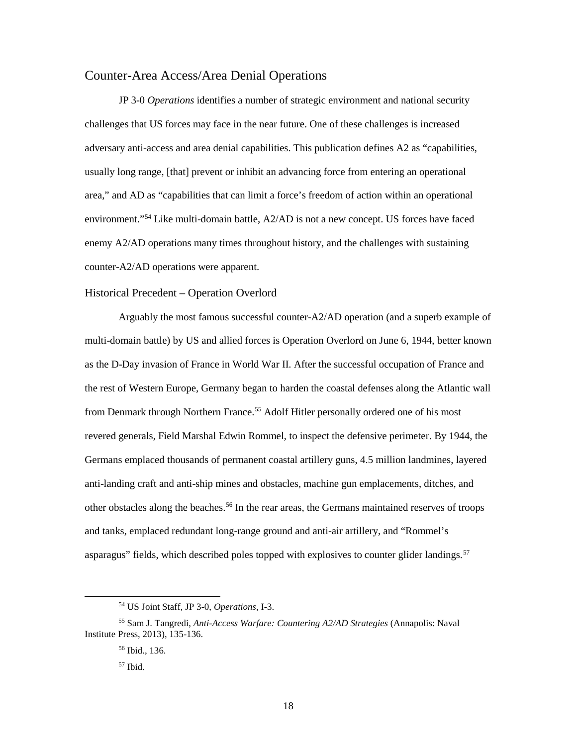### <span id="page-24-0"></span>Counter-Area Access/Area Denial Operations

 JP 3-0 *Operations* identifies a number of strategic environment and national security challenges that US forces may face in the near future. One of these challenges is increased usually long range, [that] prevent or inhibit an advancing force from entering an operational area," and AD as "capabilities that can limit a force's freedom of action within an operational adversary anti-access and area denial capabilities. This publication defines A2 as "capabilities, environment."[54](#page-24-2) Like multi-domain battle, A2/AD is not a new concept. US forces have faced enemy A2/AD operations many times throughout history, and the challenges with sustaining counter-A2/AD operations were apparent.

#### <span id="page-24-1"></span>Historical Precedent – Operation Overlord

 Arguably the most famous successful counter-A2/AD operation (and a superb example of as the D-Day invasion of France in World War II. After the successful occupation of France and the rest of Western Europe, Germany began to harden the coastal defenses along the Atlantic wall from Denmark through Northern France.<sup>55</sup> Adolf Hitler personally ordered one of his most revered generals, Field Marshal Edwin Rommel, to inspect the defensive perimeter. By 1944, the multi-domain battle) by US and allied forces is Operation Overlord on June 6, 1944, better known Germans emplaced thousands of permanent coastal artillery guns, 4.5 million landmines, layered anti-landing craft and anti-ship mines and obstacles, machine gun emplacements, ditches, and other obstacles along the beaches.<sup>56</sup> In the rear areas, the Germans maintained reserves of troops and tanks, emplaced redundant long-range ground and anti-air artillery, and "Rommel's asparagus" fields, which described poles topped with explosives to counter glider landings.<sup>57</sup>

<sup>54</sup> US Joint Staff, JP 3-0, *Operations*, I-3.

<span id="page-24-5"></span><span id="page-24-4"></span><span id="page-24-3"></span><span id="page-24-2"></span><sup>55</sup> Sam J. Tangredi, *Anti-Access Warfare: Countering A2/AD Strategies* (Annapolis: Naval Institute Press, 2013), 135-136.

 56 Ibid., 136.

 57 Ibid.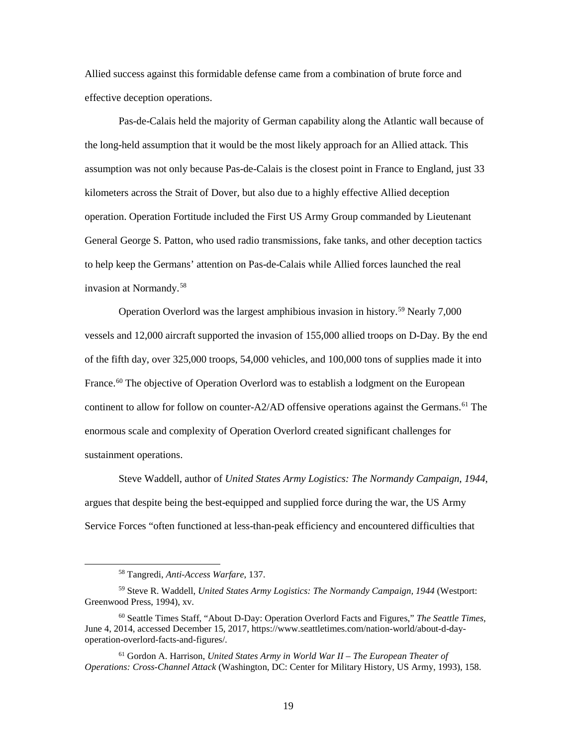Allied success against this formidable defense came from a combination of brute force and effective deception operations.

 Pas-de-Calais held the majority of German capability along the Atlantic wall because of assumption was not only because Pas-de-Calais is the closest point in France to England, just 33 operation. Operation Fortitude included the First US Army Group commanded by Lieutenant General George S. Patton, who used radio transmissions, fake tanks, and other deception tactics the long-held assumption that it would be the most likely approach for an Allied attack. This kilometers across the Strait of Dover, but also due to a highly effective Allied deception to help keep the Germans' attention on Pas-de-Calais while Allied forces launched the real invasion at Normandy.[58](#page-25-0)

 vessels and 12,000 aircraft supported the invasion of 155,000 allied troops on D-Day. By the end continent to allow for follow on counter-A2/AD offensive operations against the Germans.<sup>[61](#page-25-3)</sup> The Operation Overlord was the largest amphibious invasion in history.[59](#page-25-1) Nearly 7,000 of the fifth day, over 325,000 troops, 54,000 vehicles, and 100,000 tons of supplies made it into France.<sup>[60](#page-25-2)</sup> The objective of Operation Overlord was to establish a lodgment on the European enormous scale and complexity of Operation Overlord created significant challenges for sustainment operations.

 argues that despite being the best-equipped and supplied force during the war, the US Army Service Forces "often functioned at less-than-peak efficiency and encountered difficulties that Steve Waddell, author of *United States Army Logistics: The Normandy Campaign, 1944*,

<sup>58</sup> Tangredi, *Anti-Access Warfare*, 137.

<span id="page-25-1"></span><span id="page-25-0"></span><sup>59</sup> Steve R. Waddell, *United States Army Logistics: The Normandy Campaign, 1944* (Westport: Greenwood Press, 1994), xv.

<span id="page-25-2"></span><sup>60</sup> Seattle Times Staff, "About D-Day: Operation Overlord Facts and Figures," *The Seattle Times*, June 4, 2014, accessed December 15, 2017,<https://www.seattletimes.com/nation-world/about-d-day>operation-overlord-facts-and-figures/.

<span id="page-25-3"></span><sup>61</sup> Gordon A. Harrison, *United States Army in World War II – The European Theater of Operations: Cross-Channel Attack* (Washington, DC: Center for Military History, US Army, 1993), 158.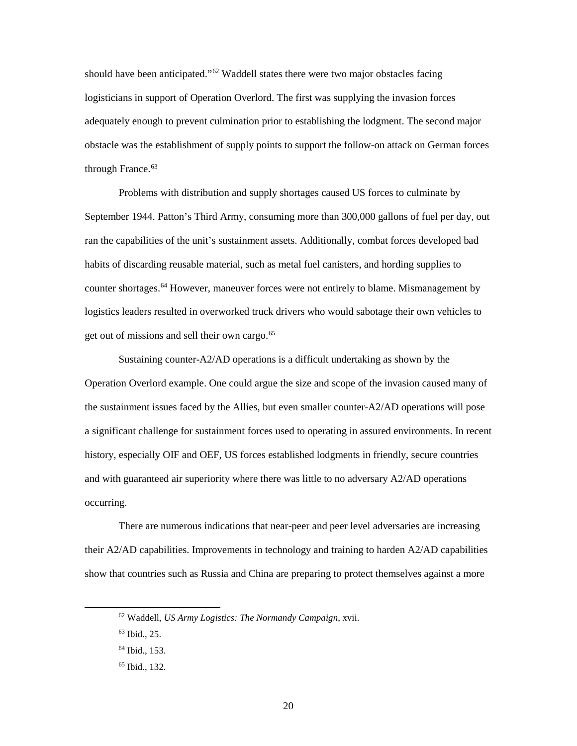should have been anticipated."<sup>62</sup> Waddell states there were two major obstacles facing logisticians in support of Operation Overlord. The first was supplying the invasion forces adequately enough to prevent culmination prior to establishing the lodgment. The second major obstacle was the establishment of supply points to support the follow-on attack on German forces through France.<sup>[63](#page-26-1)</sup>

 Problems with distribution and supply shortages caused US forces to culminate by September 1944. Patton's Third Army, consuming more than 300,000 gallons of fuel per day, out ran the capabilities of the unit's sustainment assets. Additionally, combat forces developed bad habits of discarding reusable material, such as metal fuel canisters, and hording supplies to counter shortages.<sup>[64](#page-26-2)</sup> However, maneuver forces were not entirely to blame. Mismanagement by logistics leaders resulted in overworked truck drivers who would sabotage their own vehicles to get out of missions and sell their own cargo. [65](#page-26-3)

 Sustaining counter-A2/AD operations is a difficult undertaking as shown by the and with guaranteed air superiority where there was little to no adversary A2/AD operations Operation Overlord example. One could argue the size and scope of the invasion caused many of the sustainment issues faced by the Allies, but even smaller counter-A2/AD operations will pose a significant challenge for sustainment forces used to operating in assured environments. In recent history, especially OIF and OEF, US forces established lodgments in friendly, secure countries occurring.

There are numerous indications that near-peer and peer level adversaries are increasing their A2/AD capabilities. Improvements in technology and training to harden A2/AD capabilities show that countries such as Russia and China are preparing to protect themselves against a more

<span id="page-26-1"></span><span id="page-26-0"></span> 62 Waddell, *US Army Logistics: The Normandy Campaign*, xvii.

 63 Ibid., 25.

<span id="page-26-2"></span> 64 Ibid., 153.

<span id="page-26-3"></span> 65 Ibid., 132.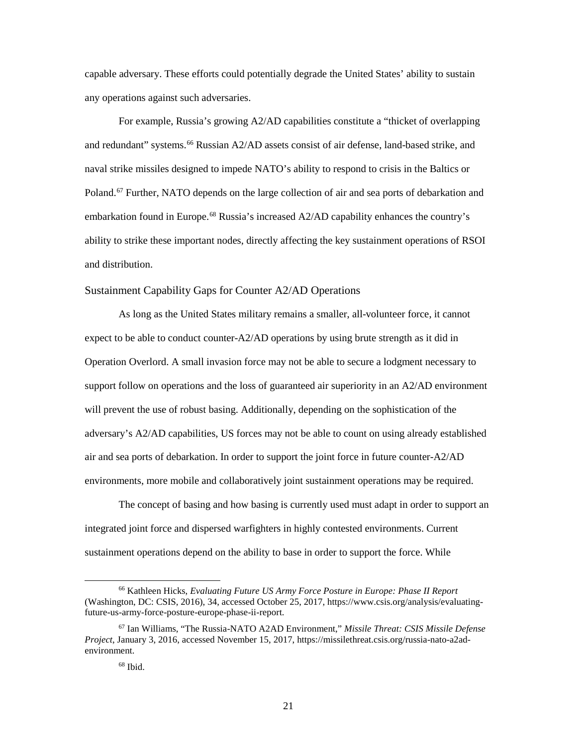any operations against such adversaries. capable adversary. These efforts could potentially degrade the United States' ability to sustain

 and redundant" systems. [66](#page-27-1) Russian A2/AD assets consist of air defense, land-based strike, and For example, Russia's growing A2/AD capabilities constitute a "thicket of overlapping naval strike missiles designed to impede NATO's ability to respond to crisis in the Baltics or Poland.<sup>67</sup> Further, NATO depends on the large collection of air and sea ports of debarkation and embarkation found in Europe.<sup>68</sup> Russia's increased  $A2/AD$  capability enhances the country's ability to strike these important nodes, directly affecting the key sustainment operations of RSOI and distribution.

#### <span id="page-27-0"></span>Sustainment Capability Gaps for Counter A2/AD Operations

 support follow on operations and the loss of guaranteed air superiority in an A2/AD environment air and sea ports of debarkation. In order to support the joint force in future counter-A2/AD environments, more mobile and collaboratively joint sustainment operations may be required. As long as the United States military remains a smaller, all-volunteer force, it cannot expect to be able to conduct counter-A2/AD operations by using brute strength as it did in Operation Overlord. A small invasion force may not be able to secure a lodgment necessary to will prevent the use of robust basing. Additionally, depending on the sophistication of the adversary's A2/AD capabilities, US forces may not be able to count on using already established

 integrated joint force and dispersed warfighters in highly contested environments. Current The concept of basing and how basing is currently used must adapt in order to support an sustainment operations depend on the ability to base in order to support the force. While

<u>.</u>

<span id="page-27-1"></span><sup>66</sup> Kathleen Hicks, *Evaluating Future US Army Force Posture in Europe: Phase II Report*  (Washington, DC: CSIS, 2016), 34, accessed October 25, 2017, <https://www.csis.org/analysis/evaluating>future-us-army-force-posture-europe-phase-ii-report.

<span id="page-27-3"></span><span id="page-27-2"></span><sup>67</sup> Ian Williams, "The Russia-NATO A2AD Environment," *Missile Threat: CSIS Missile Defense Project*, January 3, 2016, accessed November 15, 2017,<https://missilethreat.csis.org/russia-nato-a2ad>environment.

 68 Ibid.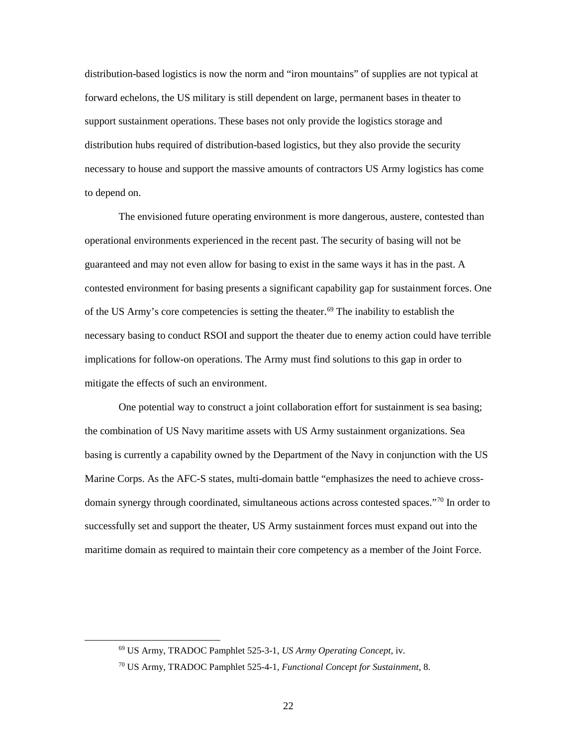distribution-based logistics is now the norm and "iron mountains" of supplies are not typical at forward echelons, the US military is still dependent on large, permanent bases in theater to support sustainment operations. These bases not only provide the logistics storage and necessary to house and support the massive amounts of contractors US Army logistics has come distribution hubs required of distribution-based logistics, but they also provide the security to depend on.

 The envisioned future operating environment is more dangerous, austere, contested than of the US Army's core competencies is setting the theater.<sup>[69](#page-28-0)</sup> The inability to establish the operational environments experienced in the recent past. The security of basing will not be guaranteed and may not even allow for basing to exist in the same ways it has in the past. A contested environment for basing presents a significant capability gap for sustainment forces. One necessary basing to conduct RSOI and support the theater due to enemy action could have terrible implications for follow-on operations. The Army must find solutions to this gap in order to mitigate the effects of such an environment.

 One potential way to construct a joint collaboration effort for sustainment is sea basing; domain synergy through coordinated, simultaneous actions across contested spaces."<sup>[70](#page-28-1)</sup> In order to successfully set and support the theater, US Army sustainment forces must expand out into the maritime domain as required to maintain their core competency as a member of the Joint Force. the combination of US Navy maritime assets with US Army sustainment organizations. Sea basing is currently a capability owned by the Department of the Navy in conjunction with the US Marine Corps. As the AFC-S states, multi-domain battle "emphasizes the need to achieve cross-

<span id="page-28-0"></span><sup>69</sup> US Army, TRADOC Pamphlet 525-3-1, *US Army Operating Concept*, iv.

<span id="page-28-1"></span><sup>70</sup> US Army, TRADOC Pamphlet 525-4-1, *Functional Concept for Sustainment*, 8.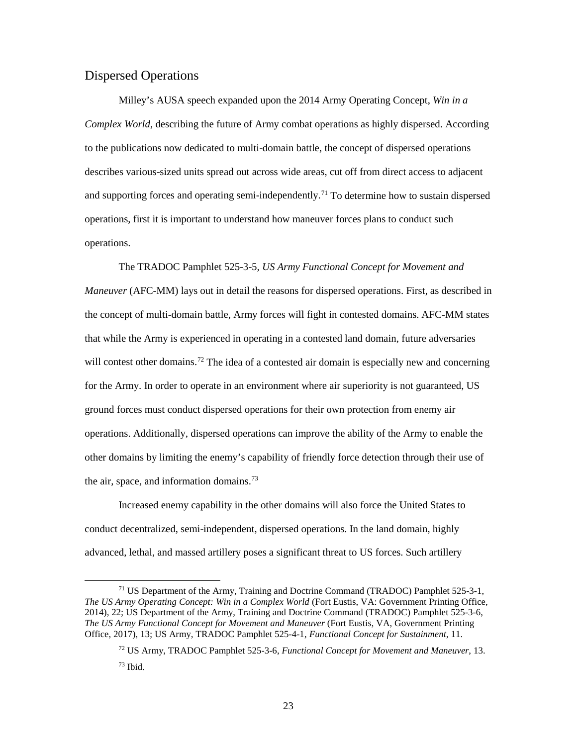### <span id="page-29-0"></span>Dispersed Operations

 $\overline{a}$ 

 operations, first it is important to understand how maneuver forces plans to conduct such Milley's AUSA speech expanded upon the 2014 Army Operating Concept, *Win in a Complex World*, describing the future of Army combat operations as highly dispersed. According to the publications now dedicated to multi-domain battle, the concept of dispersed operations describes various-sized units spread out across wide areas, cut off from direct access to adjacent and supporting forces and operating semi-independently.<sup>[71](#page-29-1)</sup> To determine how to sustain dispersed operations.

 *Maneuver* (AFC-MM) lays out in detail the reasons for dispersed operations. First, as described in ground forces must conduct dispersed operations for their own protection from enemy air other domains by limiting the enemy's capability of friendly force detection through their use of The TRADOC Pamphlet 525-3-5*, US Army Functional Concept for Movement and*  the concept of multi-domain battle, Army forces will fight in contested domains. AFC-MM states that while the Army is experienced in operating in a contested land domain, future adversaries will contest other domains.<sup>72</sup> The idea of a contested air domain is especially new and concerning for the Army. In order to operate in an environment where air superiority is not guaranteed, US operations. Additionally, dispersed operations can improve the ability of the Army to enable the the air, space, and information domains.<sup>73</sup>

 advanced, lethal, and massed artillery poses a significant threat to US forces. Such artillery Increased enemy capability in the other domains will also force the United States to conduct decentralized, semi-independent, dispersed operations. In the land domain, highly

<span id="page-29-3"></span><span id="page-29-2"></span><span id="page-29-1"></span><sup>&</sup>lt;sup>71</sup> US Department of the Army, Training and Doctrine Command (TRADOC) Pamphlet 525-3-1, *The US Army Operating Concept: Win in a Complex World* (Fort Eustis, VA: Government Printing Office, 2014), 22; US Department of the Army, Training and Doctrine Command (TRADOC) Pamphlet 525-3-6, *The US Army Functional Concept for Movement and Maneuver* (Fort Eustis, VA, Government Printing Office, 2017), 13; US Army, TRADOC Pamphlet 525-4-1, *Functional Concept for Sustainment*, 11.

 $73$  Ibid. 72 US Army, TRADOC Pamphlet 525-3-6, *Functional Concept for Movement and Maneuver*, 13.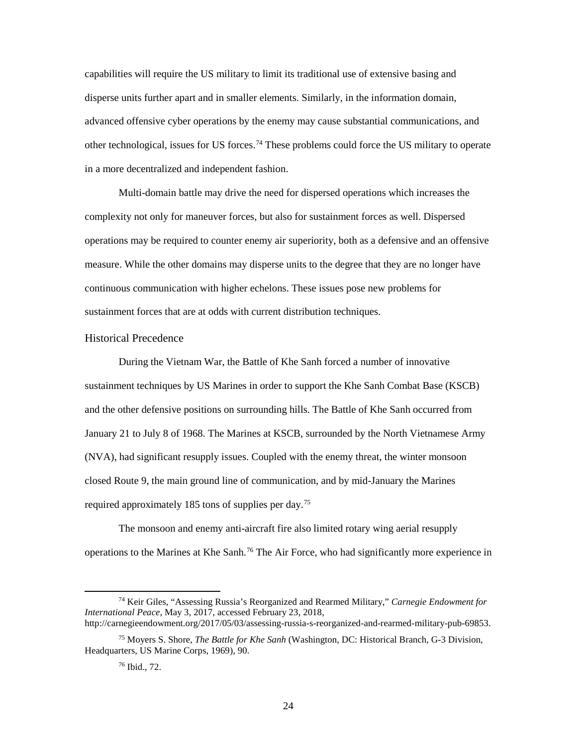disperse units further apart and in smaller elements. Similarly, in the information domain, in a more decentralized and independent fashion. capabilities will require the US military to limit its traditional use of extensive basing and advanced offensive cyber operations by the enemy may cause substantial communications, and other technological, issues for US forces.<sup>74</sup> These problems could force the US military to operate

 complexity not only for maneuver forces, but also for sustainment forces as well. Dispersed operations may be required to counter enemy air superiority, both as a defensive and an offensive sustainment forces that are at odds with current distribution techniques. Multi-domain battle may drive the need for dispersed operations which increases the measure. While the other domains may disperse units to the degree that they are no longer have continuous communication with higher echelons. These issues pose new problems for

#### <span id="page-30-0"></span>Historical Precedence

 During the Vietnam War, the Battle of Khe Sanh forced a number of innovative sustainment techniques by US Marines in order to support the Khe Sanh Combat Base (KSCB) January 21 to July 8 of 1968. The Marines at KSCB, surrounded by the North Vietnamese Army required approximately 185 tons of supplies per day.<sup>75</sup> and the other defensive positions on surrounding hills. The Battle of Khe Sanh occurred from (NVA), had significant resupply issues. Coupled with the enemy threat, the winter monsoon closed Route 9, the main ground line of communication, and by mid-January the Marines

 The monsoon and enemy anti-aircraft fire also limited rotary wing aerial resupply operations to the Marines at Khe Sanh.<sup>76</sup> The Air Force, who had significantly more experience in

<span id="page-30-1"></span><sup>74</sup> Keir Giles, "Assessing Russia's Reorganized and Rearmed Military," *Carnegie Endowment for International Peace*, May 3, 2017, accessed February 23, 2018, [http://carnegieendowment.org/2017/05/03/assessing-russia-s-reorganized-and-rearmed-military-pub-69853.](http://carnegieendowment.org/2017/05/03/assessing-russia-s-reorganized-and-rearmed-military-pub-69853)

<span id="page-30-3"></span><span id="page-30-2"></span> 75 Moyers S. Shore, *The Battle for Khe Sanh* (Washington, DC: Historical Branch, G-3 Division, Headquarters, US Marine Corps, 1969), 90.

 76 Ibid., 72.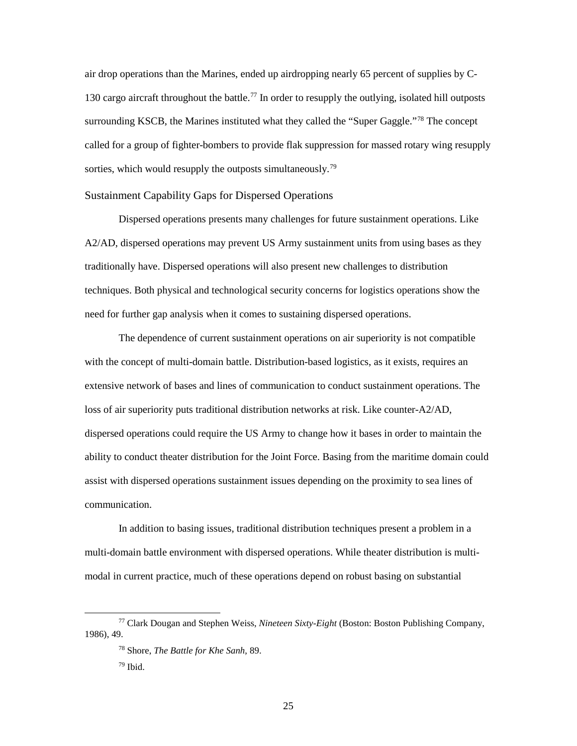130 cargo aircraft throughout the battle.<sup>77</sup> In order to resupply the outlying, isolated hill outposts surrounding KSCB, the Marines instituted what they called the "Super Gaggle."<sup>[78](#page-31-2)</sup> The concept sorties, which would resupply the outposts simultaneously.<sup>[79](#page-31-3)</sup> air drop operations than the Marines, ended up airdropping nearly 65 percent of supplies by Ccalled for a group of fighter-bombers to provide flak suppression for massed rotary wing resupply

#### <span id="page-31-0"></span>Sustainment Capability Gaps for Dispersed Operations

Dispersed operations presents many challenges for future sustainment operations. Like A2/AD, dispersed operations may prevent US Army sustainment units from using bases as they traditionally have. Dispersed operations will also present new challenges to distribution techniques. Both physical and technological security concerns for logistics operations show the need for further gap analysis when it comes to sustaining dispersed operations.

 with the concept of multi-domain battle. Distribution-based logistics, as it exists, requires an extensive network of bases and lines of communication to conduct sustainment operations. The ability to conduct theater distribution for the Joint Force. Basing from the maritime domain could The dependence of current sustainment operations on air superiority is not compatible loss of air superiority puts traditional distribution networks at risk. Like counter-A2/AD, dispersed operations could require the US Army to change how it bases in order to maintain the assist with dispersed operations sustainment issues depending on the proximity to sea lines of communication.

 modal in current practice, much of these operations depend on robust basing on substantial In addition to basing issues, traditional distribution techniques present a problem in a multi-domain battle environment with dispersed operations. While theater distribution is multi-

<span id="page-31-3"></span><span id="page-31-2"></span><span id="page-31-1"></span><sup>77</sup> Clark Dougan and Stephen Weiss, *Nineteen Sixty-Eight* (Boston: Boston Publishing Company, 1986), 49.

<sup>78</sup> Shore, *The Battle for Khe Sanh*, 89.

 79 Ibid.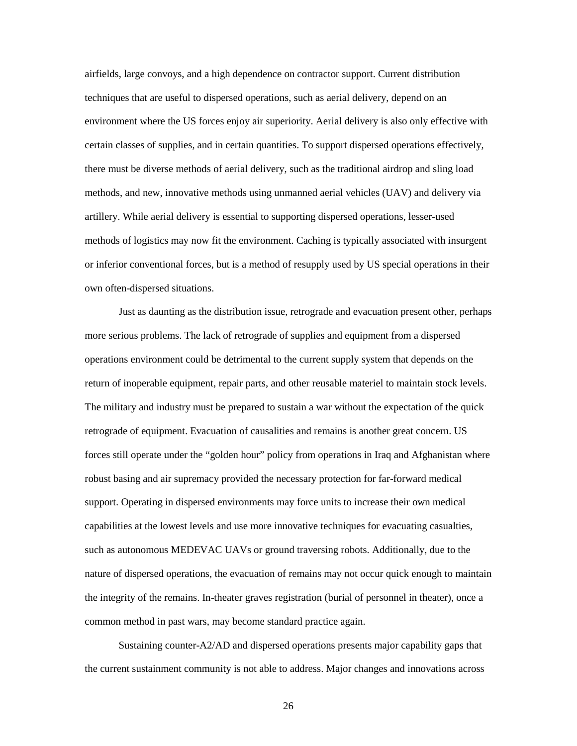there must be diverse methods of aerial delivery, such as the traditional airdrop and sling load methods, and new, innovative methods using unmanned aerial vehicles (UAV) and delivery via or inferior conventional forces, but is a method of resupply used by US special operations in their own often-dispersed situations. airfields, large convoys, and a high dependence on contractor support. Current distribution techniques that are useful to dispersed operations, such as aerial delivery, depend on an environment where the US forces enjoy air superiority. Aerial delivery is also only effective with certain classes of supplies, and in certain quantities. To support dispersed operations effectively, artillery. While aerial delivery is essential to supporting dispersed operations, lesser-used methods of logistics may now fit the environment. Caching is typically associated with insurgent

 Just as daunting as the distribution issue, retrograde and evacuation present other, perhaps more serious problems. The lack of retrograde of supplies and equipment from a dispersed operations environment could be detrimental to the current supply system that depends on the The military and industry must be prepared to sustain a war without the expectation of the quick support. Operating in dispersed environments may force units to increase their own medical capabilities at the lowest levels and use more innovative techniques for evacuating casualties, the integrity of the remains. In-theater graves registration (burial of personnel in theater), once a return of inoperable equipment, repair parts, and other reusable materiel to maintain stock levels. retrograde of equipment. Evacuation of causalities and remains is another great concern. US forces still operate under the "golden hour" policy from operations in Iraq and Afghanistan where robust basing and air supremacy provided the necessary protection for far-forward medical such as autonomous MEDEVAC UAVs or ground traversing robots. Additionally, due to the nature of dispersed operations, the evacuation of remains may not occur quick enough to maintain common method in past wars, may become standard practice again.

Sustaining counter-A2/AD and dispersed operations presents major capability gaps that the current sustainment community is not able to address. Major changes and innovations across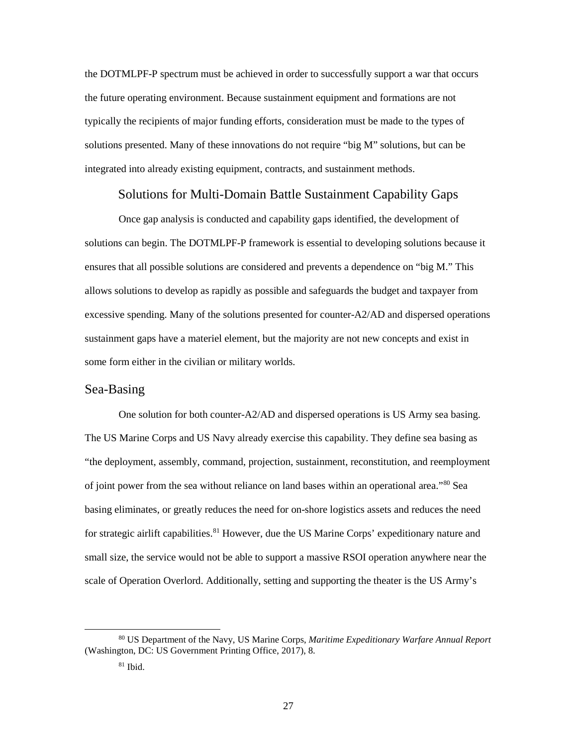the DOTMLPF-P spectrum must be achieved in order to successfully support a war that occurs typically the recipients of major funding efforts, consideration must be made to the types of solutions presented. Many of these innovations do not require "big M" solutions, but can be the future operating environment. Because sustainment equipment and formations are not integrated into already existing equipment, contracts, and sustainment methods.

#### Solutions for Multi-Domain Battle Sustainment Capability Gaps

<span id="page-33-0"></span> allows solutions to develop as rapidly as possible and safeguards the budget and taxpayer from Once gap analysis is conducted and capability gaps identified, the development of solutions can begin. The DOTMLPF-P framework is essential to developing solutions because it ensures that all possible solutions are considered and prevents a dependence on "big M." This excessive spending. Many of the solutions presented for counter-A2/AD and dispersed operations sustainment gaps have a materiel element, but the majority are not new concepts and exist in some form either in the civilian or military worlds.

#### <span id="page-33-1"></span>Sea-Basing

 The US Marine Corps and US Navy already exercise this capability. They define sea basing as One solution for both counter-A2/AD and dispersed operations is US Army sea basing. "the deployment, assembly, command, projection, sustainment, reconstitution, and reemployment of joint power from the sea without reliance on land bases within an operational area."<sup>80</sup> Sea basing eliminates, or greatly reduces the need for on-shore logistics assets and reduces the need for strategic airlift capabilities.<sup>[81](#page-33-3)</sup> However, due the US Marine Corps' expeditionary nature and small size, the service would not be able to support a massive RSOI operation anywhere near the scale of Operation Overlord. Additionally, setting and supporting the theater is the US Army's

<span id="page-33-3"></span><span id="page-33-2"></span><sup>80</sup> US Department of the Navy, US Marine Corps, *Maritime Expeditionary Warfare Annual Report*  (Washington, DC: US Government Printing Office, 2017), 8.

 81 Ibid.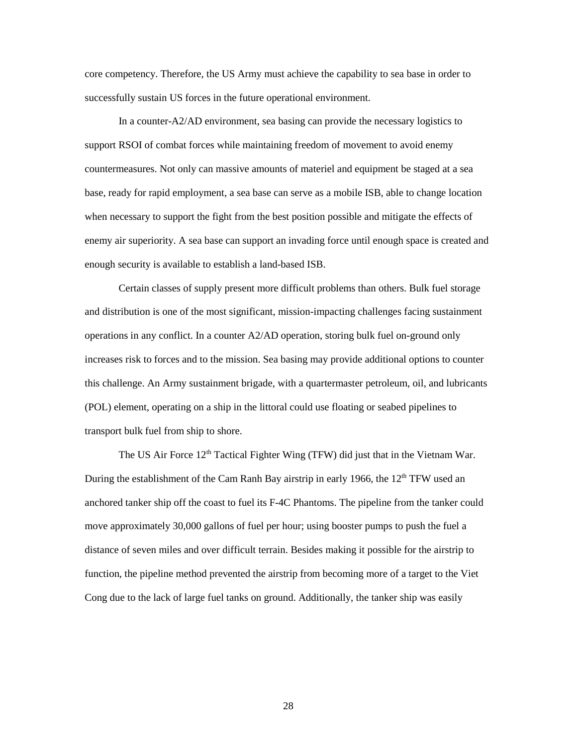core competency. Therefore, the US Army must achieve the capability to sea base in order to successfully sustain US forces in the future operational environment.

 In a counter-A2/AD environment, sea basing can provide the necessary logistics to support RSOI of combat forces while maintaining freedom of movement to avoid enemy base, ready for rapid employment, a sea base can serve as a mobile ISB, able to change location when necessary to support the fight from the best position possible and mitigate the effects of countermeasures. Not only can massive amounts of materiel and equipment be staged at a sea enemy air superiority. A sea base can support an invading force until enough space is created and enough security is available to establish a land-based ISB.

 Certain classes of supply present more difficult problems than others. Bulk fuel storage and distribution is one of the most significant, mission-impacting challenges facing sustainment operations in any conflict. In a counter A2/AD operation, storing bulk fuel on-ground only increases risk to forces and to the mission. Sea basing may provide additional options to counter this challenge. An Army sustainment brigade, with a quartermaster petroleum, oil, and lubricants (POL) element, operating on a ship in the littoral could use floating or seabed pipelines to transport bulk fuel from ship to shore.

The US Air Force  $12<sup>th</sup>$  Tactical Fighter Wing (TFW) did just that in the Vietnam War. anchored tanker ship off the coast to fuel its F-4C Phantoms. The pipeline from the tanker could move approximately 30,000 gallons of fuel per hour; using booster pumps to push the fuel a function, the pipeline method prevented the airstrip from becoming more of a target to the Viet Cong due to the lack of large fuel tanks on ground. Additionally, the tanker ship was easily During the establishment of the Cam Ranh Bay airstrip in early 1966, the 12<sup>th</sup> TFW used an distance of seven miles and over difficult terrain. Besides making it possible for the airstrip to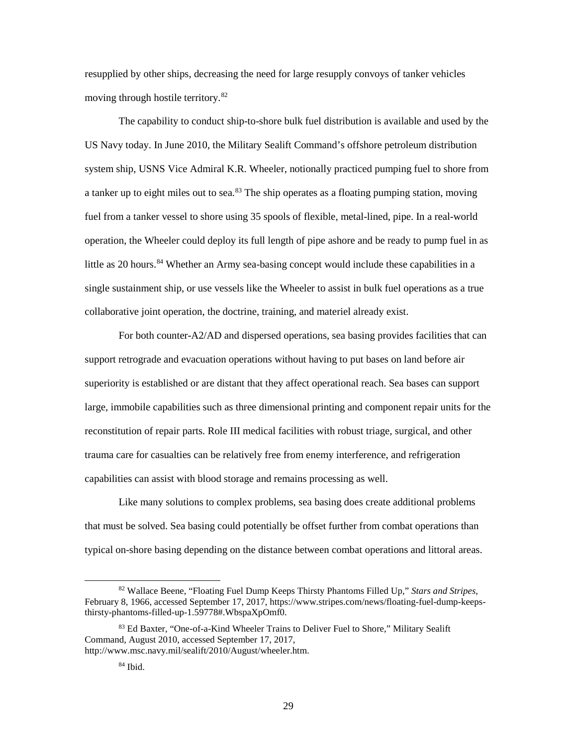moving through hostile territory.<sup>82</sup> resupplied by other ships, decreasing the need for large resupply convoys of tanker vehicles

 system ship, USNS Vice Admiral K.R. Wheeler, notionally practiced pumping fuel to shore from fuel from a tanker vessel to shore using 35 spools of flexible, metal-lined, pipe. In a real-world operation, the Wheeler could deploy its full length of pipe ashore and be ready to pump fuel in as single sustainment ship, or use vessels like the Wheeler to assist in bulk fuel operations as a true collaborative joint operation, the doctrine, training, and materiel already exist. The capability to conduct ship-to-shore bulk fuel distribution is available and used by the US Navy today. In June 2010, the Military Sealift Command's offshore petroleum distribution a tanker up to eight miles out to sea.<sup>83</sup> The ship operates as a floating pumping station, moving little as 20 hours.<sup>[84](#page-35-2)</sup> Whether an Army sea-basing concept would include these capabilities in a

 For both counter-A2/AD and dispersed operations, sea basing provides facilities that can superiority is established or are distant that they affect operational reach. Sea bases can support capabilities can assist with blood storage and remains processing as well. support retrograde and evacuation operations without having to put bases on land before air large, immobile capabilities such as three dimensional printing and component repair units for the reconstitution of repair parts. Role III medical facilities with robust triage, surgical, and other trauma care for casualties can be relatively free from enemy interference, and refrigeration

 Like many solutions to complex problems, sea basing does create additional problems that must be solved. Sea basing could potentially be offset further from combat operations than typical on-shore basing depending on the distance between combat operations and littoral areas.

<u>.</u>

<span id="page-35-0"></span><sup>82</sup> Wallace Beene, "Floating Fuel Dump Keeps Thirsty Phantoms Filled Up," *Stars and Stripes*, February 8, 1966, accessed September 17, 2017,<https://www.stripes.com/news/floating-fuel-dump-keeps>thirsty-phantoms-filled-up-1.59778#.WbspaXpOmf0.

<span id="page-35-2"></span><span id="page-35-1"></span><sup>83</sup> Ed Baxter, "One-of-a-Kind Wheeler Trains to Deliver Fuel to Shore," Military Sealift Command, August 2010, accessed September 17, 2017, [http://www.msc.navy.mil/sealift/2010/August/wheeler.htm.](http://www.msc.navy.mil/sealift/2010/August/wheeler.htm)

 84 Ibid.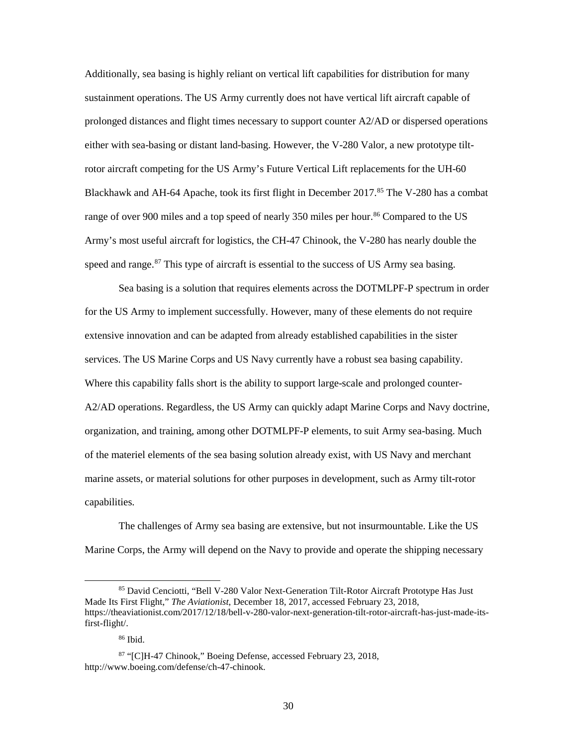sustainment operations. The US Army currently does not have vertical lift aircraft capable of Blackhawk and AH-64 Apache, took its first flight in December 2017.<sup>[85](#page-36-0)</sup> The V-280 has a combat range of over 900 miles and a top speed of nearly 350 miles per hour.<sup>[86](#page-36-1)</sup> Compared to the US speed and range.<sup>[87](#page-36-2)</sup> This type of aircraft is essential to the success of US Army sea basing. Additionally, sea basing is highly reliant on vertical lift capabilities for distribution for many prolonged distances and flight times necessary to support counter A2/AD or dispersed operations either with sea-basing or distant land-basing. However, the V-280 Valor, a new prototype tiltrotor aircraft competing for the US Army's Future Vertical Lift replacements for the UH-60 Army's most useful aircraft for logistics, the CH-47 Chinook, the V-280 has nearly double the

 services. The US Marine Corps and US Navy currently have a robust sea basing capability. Where this capability falls short is the ability to support large-scale and prolonged counter- A2/AD operations. Regardless, the US Army can quickly adapt Marine Corps and Navy doctrine, organization, and training, among other DOTMLPF-P elements, to suit Army sea-basing. Much of the materiel elements of the sea basing solution already exist, with US Navy and merchant Sea basing is a solution that requires elements across the DOTMLPF-P spectrum in order for the US Army to implement successfully. However, many of these elements do not require extensive innovation and can be adapted from already established capabilities in the sister marine assets, or material solutions for other purposes in development, such as Army tilt-rotor capabilities.

 Marine Corps, the Army will depend on the Navy to provide and operate the shipping necessary The challenges of Army sea basing are extensive, but not insurmountable. Like the US

<span id="page-36-0"></span><sup>85</sup> David Cenciotti, "Bell V-280 Valor Next-Generation Tilt-Rotor Aircraft Prototype Has Just Made Its First Flight," *The Aviationist*, December 18, 2017, accessed February 23, 2018, <https://theaviationist.com/2017/12/18/bell-v-280-valor-next-generation-tilt-rotor-aircraft-has-just-made-its>first-flight/.

 86 Ibid.

<span id="page-36-2"></span><span id="page-36-1"></span><sup>87 &</sup>quot;[C]H-47 Chinook," Boeing Defense, accessed February 23, 2018, <http://www.boeing.com/defense/ch-47-chinook>.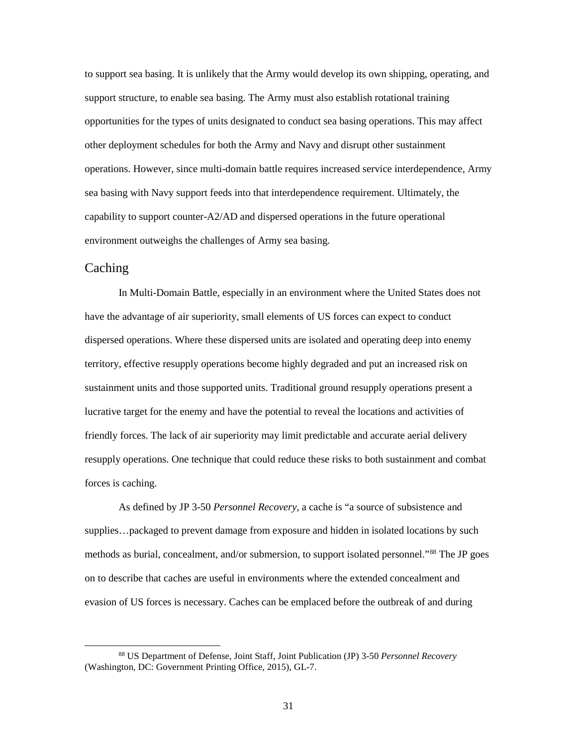support structure, to enable sea basing. The Army must also establish rotational training opportunities for the types of units designated to conduct sea basing operations. This may affect other deployment schedules for both the Army and Navy and disrupt other sustainment capability to support counter-A2/AD and dispersed operations in the future operational to support sea basing. It is unlikely that the Army would develop its own shipping, operating, and operations. However, since multi-domain battle requires increased service interdependence, Army sea basing with Navy support feeds into that interdependence requirement. Ultimately, the environment outweighs the challenges of Army sea basing.

## <span id="page-37-0"></span>**Caching**

 $\overline{a}$ 

 friendly forces. The lack of air superiority may limit predictable and accurate aerial delivery resupply operations. One technique that could reduce these risks to both sustainment and combat In Multi-Domain Battle, especially in an environment where the United States does not have the advantage of air superiority, small elements of US forces can expect to conduct dispersed operations. Where these dispersed units are isolated and operating deep into enemy territory, effective resupply operations become highly degraded and put an increased risk on sustainment units and those supported units. Traditional ground resupply operations present a lucrative target for the enemy and have the potential to reveal the locations and activities of forces is caching.

As defined by JP 3-50 *Personnel Recovery*, a cache is "a source of subsistence and supplies…packaged to prevent damage from exposure and hidden in isolated locations by such methods as burial, concealment, and/or submersion, to support isolated personnel."[88](#page-37-1) The JP goes on to describe that caches are useful in environments where the extended concealment and evasion of US forces is necessary. Caches can be emplaced before the outbreak of and during

<span id="page-37-1"></span><sup>88</sup> US Department of Defense, Joint Staff, Joint Publication (JP) 3-50 *Personnel Recovery*  (Washington, DC: Government Printing Office, 2015), GL-7.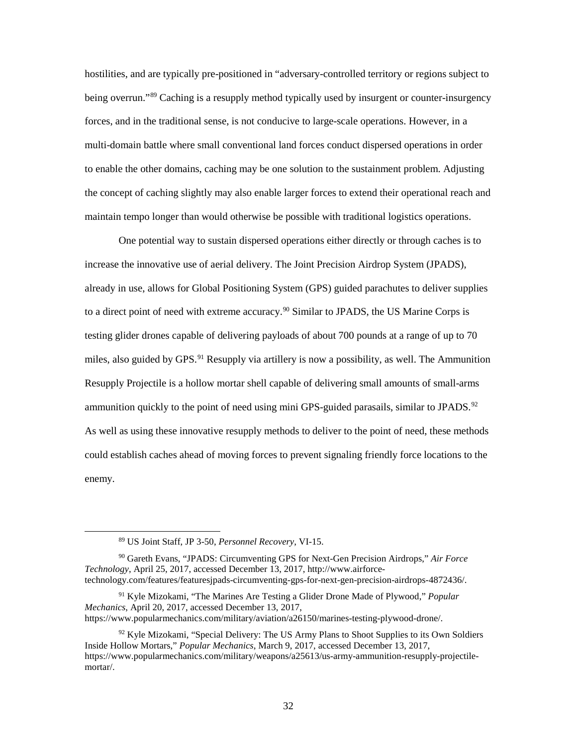being overrun."<sup>89</sup> Caching is a resupply method typically used by insurgent or counter-insurgency multi-domain battle where small conventional land forces conduct dispersed operations in order to enable the other domains, caching may be one solution to the sustainment problem. Adjusting the concept of caching slightly may also enable larger forces to extend their operational reach and hostilities, and are typically pre-positioned in "adversary-controlled territory or regions subject to forces, and in the traditional sense, is not conducive to large-scale operations. However, in a maintain tempo longer than would otherwise be possible with traditional logistics operations.

 One potential way to sustain dispersed operations either directly or through caches is to to a direct point of need with extreme accuracy.<sup>[90](#page-38-1)</sup> Similar to JPADS, the US Marine Corps is testing glider drones capable of delivering payloads of about 700 pounds at a range of up to 70 increase the innovative use of aerial delivery. The Joint Precision Airdrop System (JPADS), already in use, allows for Global Positioning System (GPS) guided parachutes to deliver supplies miles, also guided by GPS.<sup>91</sup> Resupply via artillery is now a possibility, as well. The Ammunition Resupply Projectile is a hollow mortar shell capable of delivering small amounts of small-arms ammunition quickly to the point of need using mini GPS-guided parasails, similar to JPADS.<sup>[92](#page-38-3)</sup> As well as using these innovative resupply methods to deliver to the point of need, these methods could establish caches ahead of moving forces to prevent signaling friendly force locations to the enemy.

<sup>89</sup> US Joint Staff, JP 3-50, *Personnel Recovery*, VI-15.

<span id="page-38-1"></span><span id="page-38-0"></span> 90 Gareth Evans, "JPADS: Circumventing GPS for Next-Gen Precision Airdrops," *Air Force Technology*, April 25, 2017, accessed December 13, 2017, <http://www.airforce>[technology.com/features/featuresjpads-circumventing-gps-for-next-gen-precision-airdrops-4872436](https://technology.com/features/featuresjpads-circumventing-gps-for-next-gen-precision-airdrops-4872436)/.

<span id="page-38-2"></span><sup>91</sup> Kyle Mizokami, "The Marines Are Testing a Glider Drone Made of Plywood," *Popular Mechanics*, April 20, 2017, accessed December 13, 2017, [https://www.popularmechanics.com/military/aviation/a26150/marines-testing-plywood-drone/](https://www.popularmechanics.com/military/aviation/a26150/marines-testing-plywood-drone).

<span id="page-38-3"></span> $92$  Kyle Mizokami, "Special Delivery: The US Army Plans to Shoot Supplies to its Own Soldiers Inside Hollow Mortars," *Popular Mechanics*, March 9, 2017, accessed December 13, 2017, <https://www.popularmechanics.com/military/weapons/a25613/us-army-ammunition-resupply-projectile>mortar/.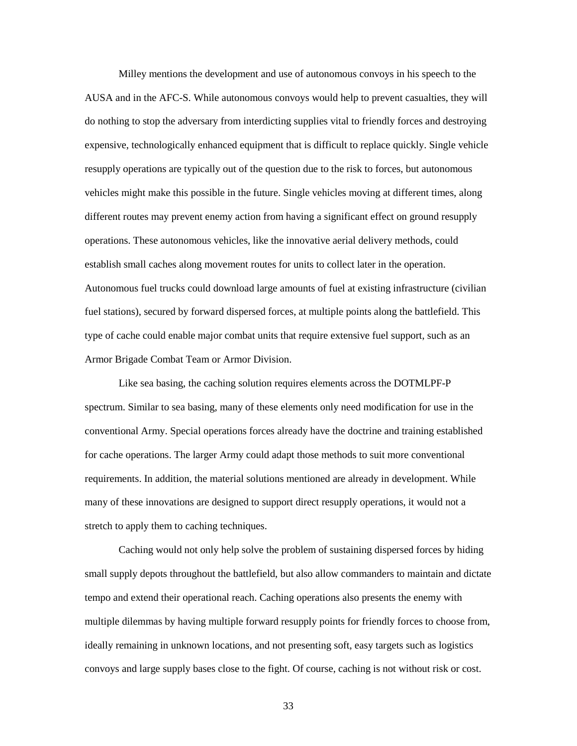Milley mentions the development and use of autonomous convoys in his speech to the AUSA and in the AFC-S. While autonomous convoys would help to prevent casualties, they will establish small caches along movement routes for units to collect later in the operation. Autonomous fuel trucks could download large amounts of fuel at existing infrastructure (civilian fuel stations), secured by forward dispersed forces, at multiple points along the battlefield. This Armor Brigade Combat Team or Armor Division. do nothing to stop the adversary from interdicting supplies vital to friendly forces and destroying expensive, technologically enhanced equipment that is difficult to replace quickly. Single vehicle resupply operations are typically out of the question due to the risk to forces, but autonomous vehicles might make this possible in the future. Single vehicles moving at different times, along different routes may prevent enemy action from having a significant effect on ground resupply operations. These autonomous vehicles, like the innovative aerial delivery methods, could type of cache could enable major combat units that require extensive fuel support, such as an

 spectrum. Similar to sea basing, many of these elements only need modification for use in the conventional Army. Special operations forces already have the doctrine and training established Like sea basing, the caching solution requires elements across the DOTMLPF-P for cache operations. The larger Army could adapt those methods to suit more conventional requirements. In addition, the material solutions mentioned are already in development. While many of these innovations are designed to support direct resupply operations, it would not a stretch to apply them to caching techniques.

 Caching would not only help solve the problem of sustaining dispersed forces by hiding small supply depots throughout the battlefield, but also allow commanders to maintain and dictate tempo and extend their operational reach. Caching operations also presents the enemy with multiple dilemmas by having multiple forward resupply points for friendly forces to choose from, ideally remaining in unknown locations, and not presenting soft, easy targets such as logistics convoys and large supply bases close to the fight. Of course, caching is not without risk or cost.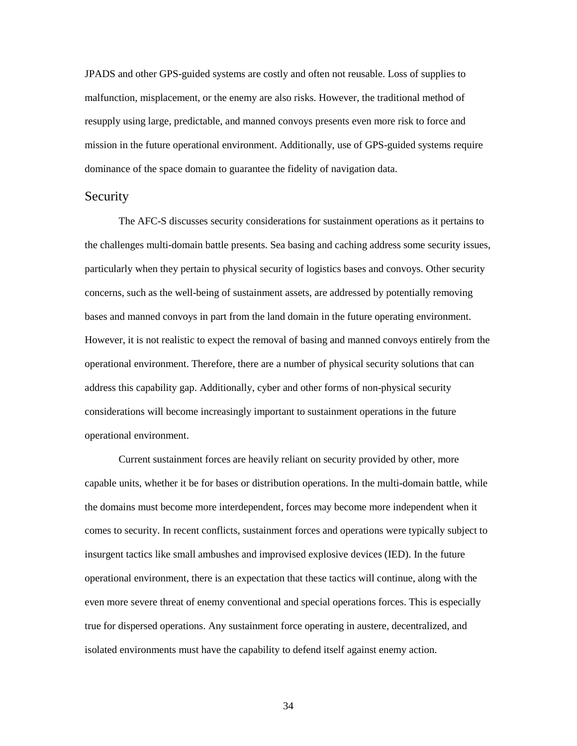malfunction, misplacement, or the enemy are also risks. However, the traditional method of JPADS and other GPS-guided systems are costly and often not reusable. Loss of supplies to resupply using large, predictable, and manned convoys presents even more risk to force and mission in the future operational environment. Additionally, use of GPS-guided systems require dominance of the space domain to guarantee the fidelity of navigation data.

### <span id="page-40-0"></span>**Security**

 The AFC-S discusses security considerations for sustainment operations as it pertains to the challenges multi-domain battle presents. Sea basing and caching address some security issues, particularly when they pertain to physical security of logistics bases and convoys. Other security concerns, such as the well-being of sustainment assets, are addressed by potentially removing bases and manned convoys in part from the land domain in the future operating environment. operational environment. Therefore, there are a number of physical security solutions that can However, it is not realistic to expect the removal of basing and manned convoys entirely from the address this capability gap. Additionally, cyber and other forms of non-physical security considerations will become increasingly important to sustainment operations in the future operational environment.

 comes to security. In recent conflicts, sustainment forces and operations were typically subject to Current sustainment forces are heavily reliant on security provided by other, more capable units, whether it be for bases or distribution operations. In the multi-domain battle, while the domains must become more interdependent, forces may become more independent when it insurgent tactics like small ambushes and improvised explosive devices (IED). In the future operational environment, there is an expectation that these tactics will continue, along with the even more severe threat of enemy conventional and special operations forces. This is especially true for dispersed operations. Any sustainment force operating in austere, decentralized, and isolated environments must have the capability to defend itself against enemy action.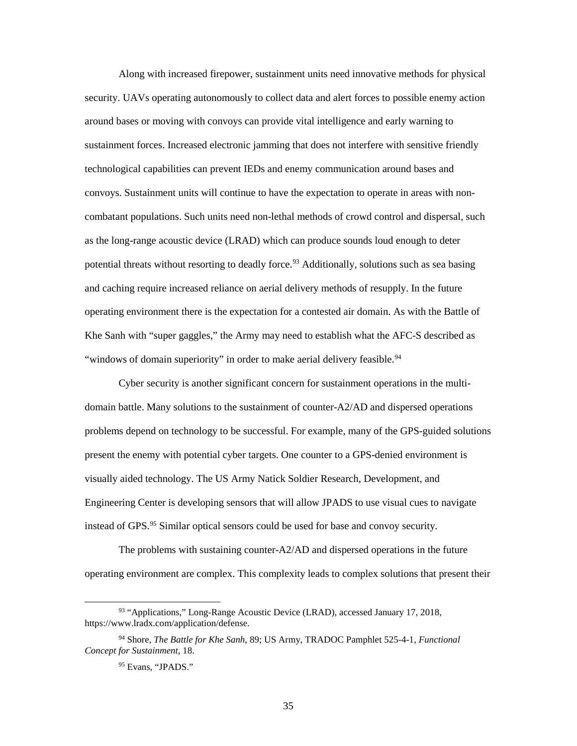convoys. Sustainment units will continue to have the expectation to operate in areas with nonpotential threats without resorting to deadly force.<sup>93</sup> Additionally, solutions such as sea basing and caching require increased reliance on aerial delivery methods of resupply. In the future operating environment there is the expectation for a contested air domain. As with the Battle of Along with increased firepower, sustainment units need innovative methods for physical security. UAVs operating autonomously to collect data and alert forces to possible enemy action around bases or moving with convoys can provide vital intelligence and early warning to sustainment forces. Increased electronic jamming that does not interfere with sensitive friendly technological capabilities can prevent IEDs and enemy communication around bases and combatant populations. Such units need non-lethal methods of crowd control and dispersal, such as the long-range acoustic device (LRAD) which can produce sounds loud enough to deter Khe Sanh with "super gaggles," the Army may need to establish what the AFC-S described as "windows of domain superiority" in order to make aerial delivery feasible.<sup>[94](#page-41-1)</sup>

 present the enemy with potential cyber targets. One counter to a GPS-denied environment is Cyber security is another significant concern for sustainment operations in the multidomain battle. Many solutions to the sustainment of counter-A2/AD and dispersed operations problems depend on technology to be successful. For example, many of the GPS-guided solutions visually aided technology. The US Army Natick Soldier Research, Development, and Engineering Center is developing sensors that will allow JPADS to use visual cues to navigate instead of GPS.[95](#page-41-2) Similar optical sensors could be used for base and convoy security.

The problems with sustaining counter-A2/AD and dispersed operations in the future operating environment are complex. This complexity leads to complex solutions that present their

<span id="page-41-0"></span><sup>93 &</sup>quot;Applications," Long-Range Acoustic Device (LRAD), accessed January 17, 2018, [https://www.lradx.com/application/defense.](https://www.lradx.com/application/defense)

<span id="page-41-2"></span><span id="page-41-1"></span><sup>94</sup> Shore, *The Battle for Khe Sanh*, 89; US Army, TRADOC Pamphlet 525-4-1, *Functional Concept for Sustainment*, 18.

<sup>95</sup> Evans, "JPADS."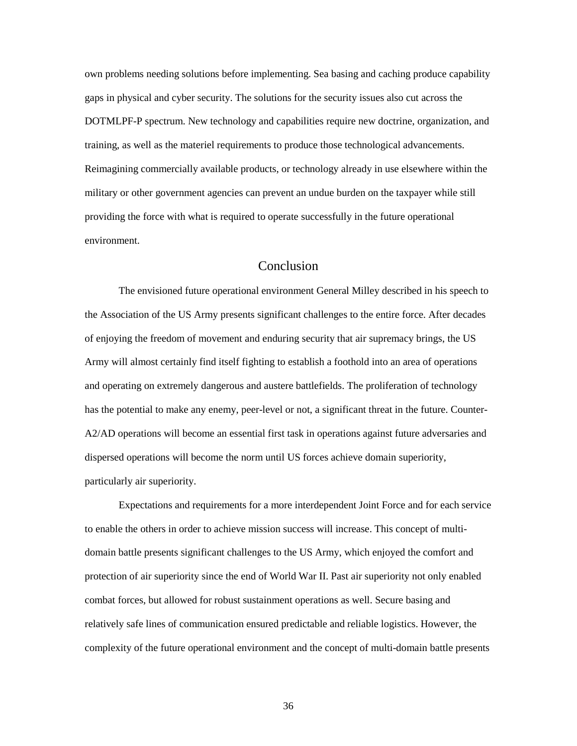gaps in physical and cyber security. The solutions for the security issues also cut across the training, as well as the materiel requirements to produce those technological advancements. Reimagining commercially available products, or technology already in use elsewhere within the military or other government agencies can prevent an undue burden on the taxpayer while still own problems needing solutions before implementing. Sea basing and caching produce capability DOTMLPF-P spectrum. New technology and capabilities require new doctrine, organization, and providing the force with what is required to operate successfully in the future operational environment.

# Conclusion

<span id="page-42-0"></span> The envisioned future operational environment General Milley described in his speech to the Association of the US Army presents significant challenges to the entire force. After decades Army will almost certainly find itself fighting to establish a foothold into an area of operations dispersed operations will become the norm until US forces achieve domain superiority, particularly air superiority. of enjoying the freedom of movement and enduring security that air supremacy brings, the US and operating on extremely dangerous and austere battlefields. The proliferation of technology has the potential to make any enemy, peer-level or not, a significant threat in the future. Counter-A2/AD operations will become an essential first task in operations against future adversaries and

 Expectations and requirements for a more interdependent Joint Force and for each service to enable the others in order to achieve mission success will increase. This concept of multi- combat forces, but allowed for robust sustainment operations as well. Secure basing and complexity of the future operational environment and the concept of multi-domain battle presents domain battle presents significant challenges to the US Army, which enjoyed the comfort and protection of air superiority since the end of World War II. Past air superiority not only enabled relatively safe lines of communication ensured predictable and reliable logistics. However, the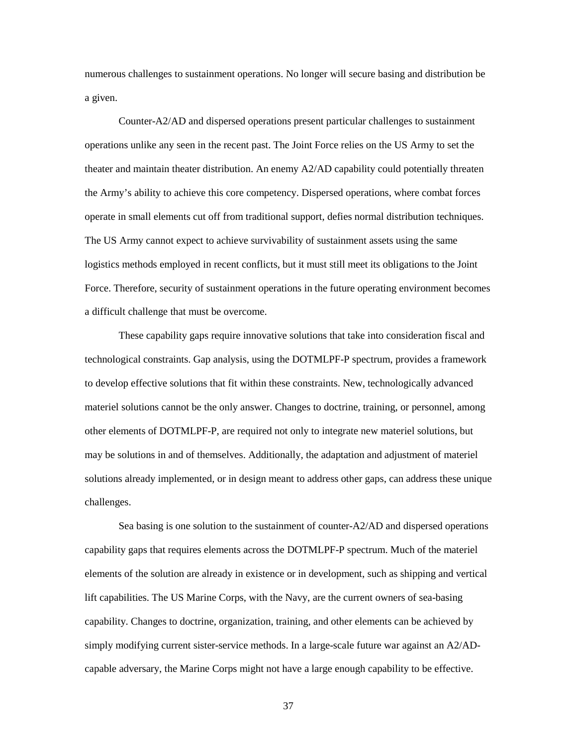numerous challenges to sustainment operations. No longer will secure basing and distribution be a given.

 logistics methods employed in recent conflicts, but it must still meet its obligations to the Joint Force. Therefore, security of sustainment operations in the future operating environment becomes Counter-A2/AD and dispersed operations present particular challenges to sustainment operations unlike any seen in the recent past. The Joint Force relies on the US Army to set the theater and maintain theater distribution. An enemy A2/AD capability could potentially threaten the Army's ability to achieve this core competency. Dispersed operations, where combat forces operate in small elements cut off from traditional support, defies normal distribution techniques. The US Army cannot expect to achieve survivability of sustainment assets using the same a difficult challenge that must be overcome.

 to develop effective solutions that fit within these constraints. New, technologically advanced other elements of DOTMLPF-P, are required not only to integrate new materiel solutions, but may be solutions in and of themselves. Additionally, the adaptation and adjustment of materiel solutions already implemented, or in design meant to address other gaps, can address these unique These capability gaps require innovative solutions that take into consideration fiscal and technological constraints. Gap analysis, using the DOTMLPF-P spectrum, provides a framework materiel solutions cannot be the only answer. Changes to doctrine, training, or personnel, among challenges.

 Sea basing is one solution to the sustainment of counter-A2/AD and dispersed operations capability. Changes to doctrine, organization, training, and other elements can be achieved by simply modifying current sister-service methods. In a large-scale future war against an A2/ADcapability gaps that requires elements across the DOTMLPF-P spectrum. Much of the materiel elements of the solution are already in existence or in development, such as shipping and vertical lift capabilities. The US Marine Corps, with the Navy, are the current owners of sea-basing capable adversary, the Marine Corps might not have a large enough capability to be effective.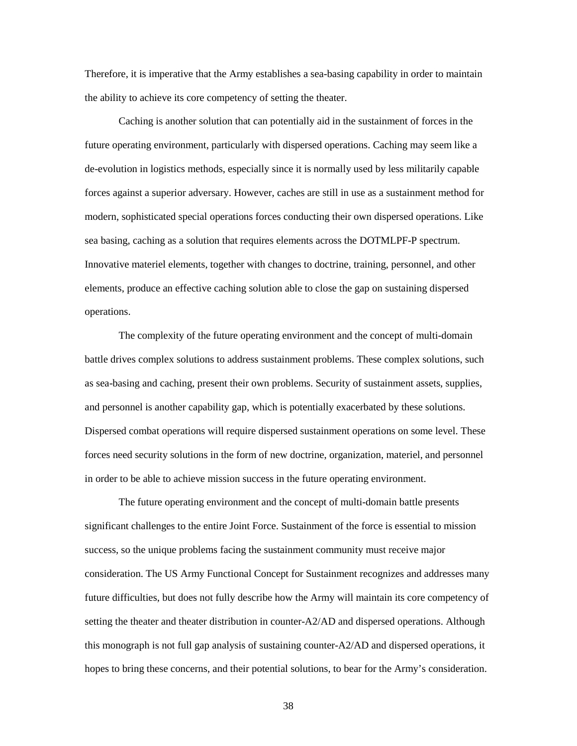Therefore, it is imperative that the Army establishes a sea-basing capability in order to maintain the ability to achieve its core competency of setting the theater.

 Caching is another solution that can potentially aid in the sustainment of forces in the sea basing, caching as a solution that requires elements across the DOTMLPF-P spectrum. Innovative materiel elements, together with changes to doctrine, training, personnel, and other future operating environment, particularly with dispersed operations. Caching may seem like a de-evolution in logistics methods, especially since it is normally used by less militarily capable forces against a superior adversary. However, caches are still in use as a sustainment method for modern, sophisticated special operations forces conducting their own dispersed operations. Like elements, produce an effective caching solution able to close the gap on sustaining dispersed operations.

 as sea-basing and caching, present their own problems. Security of sustainment assets, supplies, and personnel is another capability gap, which is potentially exacerbated by these solutions. forces need security solutions in the form of new doctrine, organization, materiel, and personnel in order to be able to achieve mission success in the future operating environment. The complexity of the future operating environment and the concept of multi-domain battle drives complex solutions to address sustainment problems. These complex solutions, such Dispersed combat operations will require dispersed sustainment operations on some level. These

 success, so the unique problems facing the sustainment community must receive major future difficulties, but does not fully describe how the Army will maintain its core competency of The future operating environment and the concept of multi-domain battle presents significant challenges to the entire Joint Force. Sustainment of the force is essential to mission consideration. The US Army Functional Concept for Sustainment recognizes and addresses many setting the theater and theater distribution in counter-A2/AD and dispersed operations. Although this monograph is not full gap analysis of sustaining counter-A2/AD and dispersed operations, it hopes to bring these concerns, and their potential solutions, to bear for the Army's consideration.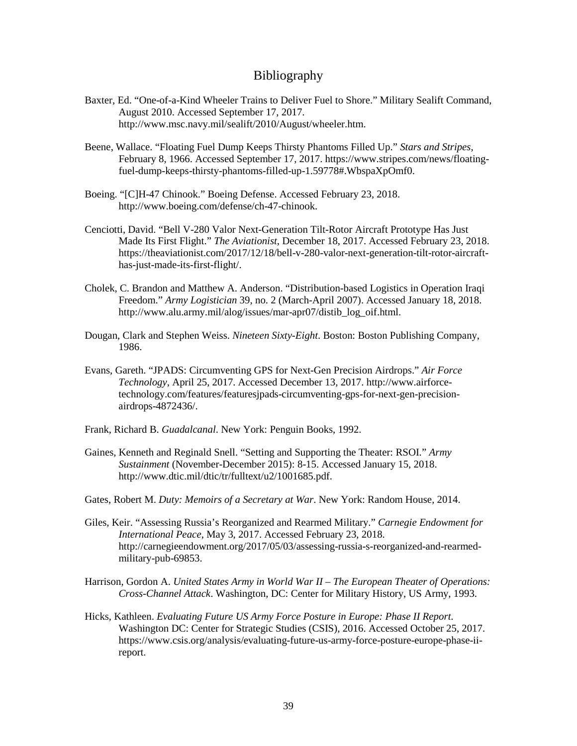## Bibliography

- <span id="page-45-0"></span> Baxter, Ed. "One-of-a-Kind Wheeler Trains to Deliver Fuel to Shore." Military Sealift Command, August 2010. Accessed September 17, 2017. [http://www.msc.navy.mil/sealift/2010/August/wheeler.htm.](http://www.msc.navy.mil/sealift/2010/August/wheeler.htm)
- Beene, Wallace. "Floating Fuel Dump Keeps Thirsty Phantoms Filled Up." *Stars and Stripes*, February 8, 1966. Accessed September 17, 2017.<https://www.stripes.com/news/floating>fuel-dump-keeps-thirsty-phantoms-filled-up-1.59778#.WbspaXpOmf0.
- Boeing. "[C]H-47 Chinook." Boeing Defense. Accessed February 23, 2018. <http://www.boeing.com/defense/ch-47-chinook>.
- Cenciotti, David. "Bell V-280 Valor Next-Generation Tilt-Rotor Aircraft Prototype Has Just Made Its First Flight." *The Aviationist*, December 18, 2017. Accessed February 23, 2018. <https://theaviationist.com/2017/12/18/bell-v-280-valor-next-generation-tilt-rotor-aircraft>has-just-made-its-first-flight/.
- Cholek, C. Brandon and Matthew A. Anderson. "Distribution-based Logistics in Operation Iraqi Freedom." *Army Logistician* 39, no. 2 (March-April 2007). Accessed January 18, 2018. [http://www.alu.army.mil/alog/issues/mar-apr07/distib\\_log\\_oif.html](http://www.alu.army.mil/alog/issues/mar-apr07/distib_log_oif.html).
- Dougan, Clark and Stephen Weiss. *Nineteen Sixty-Eight*. Boston: Boston Publishing Company, 1986.
- Evans, Gareth. "JPADS: Circumventing GPS for Next-Gen Precision Airdrops." *Air Force Technology*, April 25, 2017. Accessed December 13, 2017.<http://www.airforce>[technology.com/features/featuresjpads-circumventing-gps-for-next-gen-precision](https://technology.com/features/featuresjpads-circumventing-gps-for-next-gen-precision)airdrops-4872436/.
- Frank, Richard B. *Guadalcanal*. New York: Penguin Books, 1992.
- Gaines, Kenneth and Reginald Snell. "Setting and Supporting the Theater: RSOI." *Army Sustainment* (November-December 2015): 8-15. Accessed January 15, 2018. [http://www.dtic.mil/dtic/tr/fulltext/u2/1001685.pdf.](http://www.dtic.mil/dtic/tr/fulltext/u2/1001685.pdf)
- Gates, Robert M. *Duty: Memoirs of a Secretary at War*. New York: Random House, 2014.
- Giles, Keir. "Assessing Russia's Reorganized and Rearmed Military." *Carnegie Endowment for International Peace*, May 3, 2017. Accessed February 23, 2018. <http://carnegieendowment.org/2017/05/03/assessing-russia-s-reorganized-and-rearmed>military-pub-69853.
- Harrison, Gordon A. *United States Army in World War II The European Theater of Operations: Cross-Channel Attack*. Washington, DC: Center for Military History, US Army, 1993.
- Hicks, Kathleen. *Evaluating Future US Army Force Posture in Europe: Phase II Report*. Washington DC: Center for Strategic Studies (CSIS), 2016. Accessed October 25, 2017. <https://www.csis.org/analysis/evaluating-future-us-army-force-posture-europe-phase-ii>report.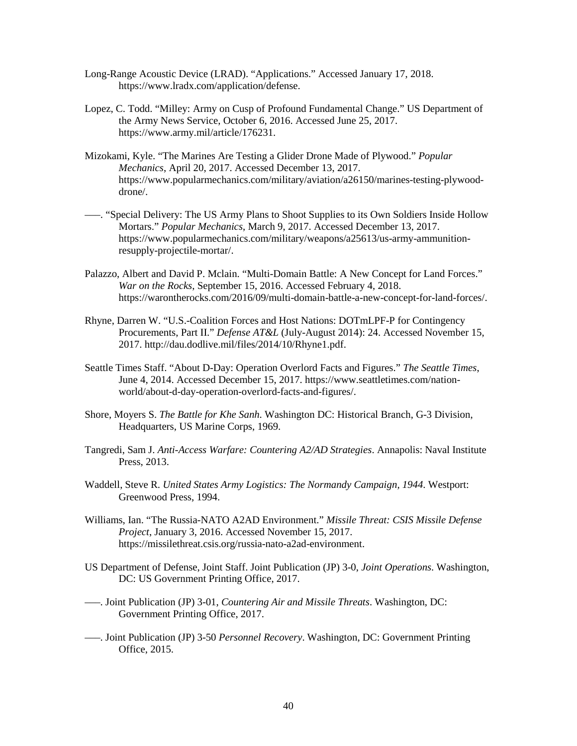- Long-Range Acoustic Device (LRAD). "Applications." Accessed January 17, 2018. <https://www.lradx.com/application/defense>.
- Lopez, C. Todd. "Milley: Army on Cusp of Profound Fundamental Change." US Department of the Army News Service, October 6, 2016. Accessed June 25, 2017. [https://www.army.mil/article/176231.](https://www.army.mil/article/176231)
- Mizokami, Kyle. "The Marines Are Testing a Glider Drone Made of Plywood." *Popular Mechanics*, April 20, 2017. Accessed December 13, 2017. <https://www.popularmechanics.com/military/aviation/a26150/marines-testing-plywood>drone/.
- –––. "Special Delivery: The US Army Plans to Shoot Supplies to its Own Soldiers Inside Hollow Mortars." *Popular Mechanics*, March 9, 2017. Accessed December 13, 2017. <https://www.popularmechanics.com/military/weapons/a25613/us-army-ammunition>resupply-projectile-mortar/.
- Palazzo, Albert and David P. Mclain. "Multi-Domain Battle: A New Concept for Land Forces." *War on the Rocks*, September 15, 2016. Accessed February 4, 2018. <https://warontherocks.com/2016/09/multi-domain-battle-a-new-concept-for-land-forces>/.
- Rhyne, Darren W. "U.S.-Coalition Forces and Host Nations: DOTmLPF-P for Contingency Procurements, Part II." *Defense AT&L* (July-August 2014): 24. Accessed November 15, 2017. [http://dau.dodlive.mil/files/2014/10/Rhyne1.pdf.](http://dau.dodlive.mil/files/2014/10/Rhyne1.pdf)
- Seattle Times Staff. "About D-Day: Operation Overlord Facts and Figures." *The Seattle Times*, June 4, 2014. Accessed December 15, 2017. <https://www.seattletimes.com/nation>world/about-d-day-operation-overlord-facts-and-figures/.
- Shore, Moyers S. *The Battle for Khe Sanh*. Washington DC: Historical Branch, G-3 Division, Headquarters, US Marine Corps, 1969.
- Tangredi, Sam J. *Anti-Access Warfare: Countering A2/AD Strategies*. Annapolis: Naval Institute Press, 2013.
- Waddell, Steve R. *United States Army Logistics: The Normandy Campaign, 1944*. Westport: Greenwood Press, 1994.
- Williams, Ian. "The Russia-NATO A2AD Environment." *Missile Threat: CSIS Missile Defense Project*, January 3, 2016. Accessed November 15, 2017. <https://missilethreat.csis.org/russia-nato-a2ad-environment>.
- US Department of Defense, Joint Staff. Joint Publication (JP) 3-0, *Joint Operations*. Washington, DC: US Government Printing Office, 2017.
- –––. Joint Publication (JP) 3-01, *Countering Air and Missile Threats*. Washington, DC: Government Printing Office, 2017.
- –––. Joint Publication (JP) 3-50 *Personnel Recovery*. Washington, DC: Government Printing Office, 2015.